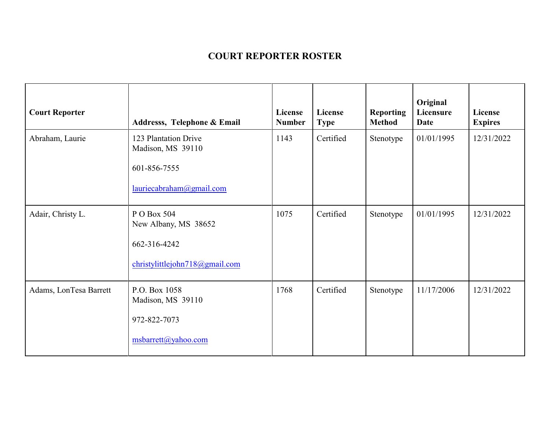## **COURT REPORTER ROSTER**

| <b>Court Reporter</b>  | Addresss, Telephone & Email                                                           | License<br><b>Number</b> | License<br><b>Type</b> | <b>Reporting</b><br><b>Method</b> | Original<br>Licensure<br><b>Date</b> | License<br><b>Expires</b> |
|------------------------|---------------------------------------------------------------------------------------|--------------------------|------------------------|-----------------------------------|--------------------------------------|---------------------------|
| Abraham, Laurie        | 123 Plantation Drive<br>Madison, MS 39110<br>601-856-7555<br>lauriecabraham@gmail.com | 1143                     | Certified              | Stenotype                         | 01/01/1995                           | 12/31/2022                |
| Adair, Christy L.      | P O Box 504<br>New Albany, MS 38652<br>662-316-4242<br>christylittlejohn718@gmail.com | 1075                     | Certified              | Stenotype                         | 01/01/1995                           | 12/31/2022                |
| Adams, LonTesa Barrett | P.O. Box 1058<br>Madison, MS 39110<br>972-822-7073<br>msbarrett@yahoo.com             | 1768                     | Certified              | Stenotype                         | 11/17/2006                           | 12/31/2022                |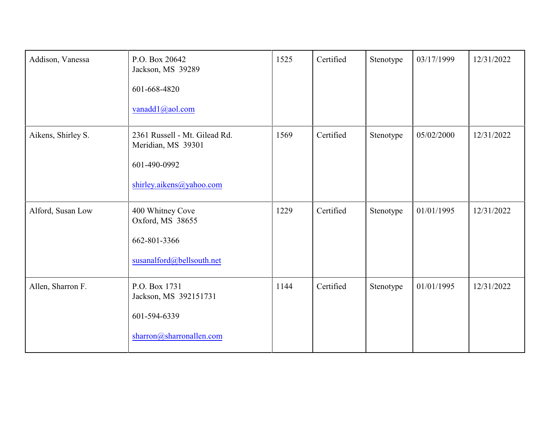| Addison, Vanessa   | P.O. Box 20642<br>Jackson, MS 39289<br>601-668-4820<br>vanadd1@aol.com                          | 1525 | Certified | Stenotype | 03/17/1999 | 12/31/2022 |
|--------------------|-------------------------------------------------------------------------------------------------|------|-----------|-----------|------------|------------|
| Aikens, Shirley S. | 2361 Russell - Mt. Gilead Rd.<br>Meridian, MS 39301<br>601-490-0992<br>shirley.aikens@yahoo.com | 1569 | Certified | Stenotype | 05/02/2000 | 12/31/2022 |
| Alford, Susan Low  | 400 Whitney Cove<br>Oxford, MS 38655<br>662-801-3366<br>susanalford@bellsouth.net               | 1229 | Certified | Stenotype | 01/01/1995 | 12/31/2022 |
| Allen, Sharron F.  | P.O. Box 1731<br>Jackson, MS 392151731<br>601-594-6339<br>sharron@sharronallen.com              | 1144 | Certified | Stenotype | 01/01/1995 | 12/31/2022 |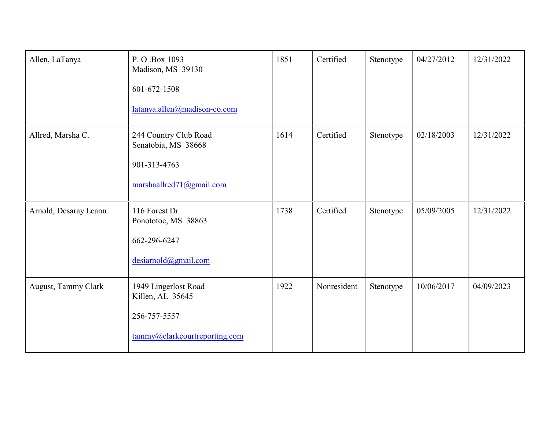| Allen, LaTanya        | P. O.Box 1093<br>Madison, MS 39130<br>601-672-1508<br>latanya.allen@madison-co.com        | 1851 | Certified   | Stenotype | 04/27/2012 | 12/31/2022 |
|-----------------------|-------------------------------------------------------------------------------------------|------|-------------|-----------|------------|------------|
| Allred, Marsha C.     | 244 Country Club Road<br>Senatobia, MS 38668<br>901-313-4763<br>marshaallred71@gmail.com  | 1614 | Certified   | Stenotype | 02/18/2003 | 12/31/2022 |
| Arnold, Desaray Leann | 116 Forest Dr<br>Ponototoc, MS 38863<br>662-296-6247<br>desiarnold@gmail.com              | 1738 | Certified   | Stenotype | 05/09/2005 | 12/31/2022 |
| August, Tammy Clark   | 1949 Lingerlost Road<br>Killen, AL 35645<br>256-757-5557<br>tammy@clarkcourtreporting.com | 1922 | Nonresident | Stenotype | 10/06/2017 | 04/09/2023 |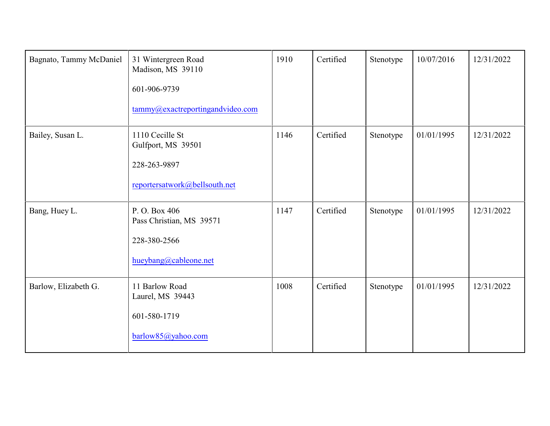| Bagnato, Tammy McDaniel | 31 Wintergreen Road<br>Madison, MS 39110<br>601-906-9739<br>tammy@exactreportingandvideo.com | 1910 | Certified | Stenotype | 10/07/2016 | 12/31/2022 |
|-------------------------|----------------------------------------------------------------------------------------------|------|-----------|-----------|------------|------------|
| Bailey, Susan L.        | 1110 Cecille St<br>Gulfport, MS 39501<br>228-263-9897<br>reportersatwork@bellsouth.net       | 1146 | Certified | Stenotype | 01/01/1995 | 12/31/2022 |
| Bang, Huey L.           | P.O. Box 406<br>Pass Christian, MS 39571<br>228-380-2566<br>hueybang@cableone.net            | 1147 | Certified | Stenotype | 01/01/1995 | 12/31/2022 |
| Barlow, Elizabeth G.    | 11 Barlow Road<br>Laurel, MS 39443<br>601-580-1719<br>barlow85@yahoo.com                     | 1008 | Certified | Stenotype | 01/01/1995 | 12/31/2022 |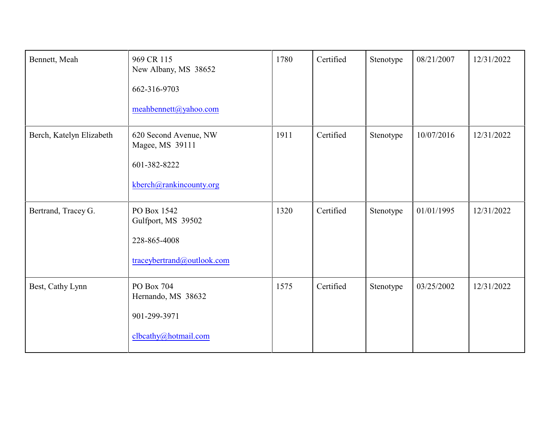| Bennett, Meah            | 969 CR 115<br>New Albany, MS 38652<br>662-316-9703<br>meahbennett@yahoo.com         | 1780 | Certified | Stenotype | 08/21/2007 | 12/31/2022 |
|--------------------------|-------------------------------------------------------------------------------------|------|-----------|-----------|------------|------------|
| Berch, Katelyn Elizabeth | 620 Second Avenue, NW<br>Magee, MS 39111<br>601-382-8222<br>kberch@rankincounty.org | 1911 | Certified | Stenotype | 10/07/2016 | 12/31/2022 |
| Bertrand, Tracey G.      | PO Box 1542<br>Gulfport, MS 39502<br>228-865-4008<br>traceybertrand@outlook.com     | 1320 | Certified | Stenotype | 01/01/1995 | 12/31/2022 |
| Best, Cathy Lynn         | PO Box 704<br>Hernando, MS 38632<br>901-299-3971<br>clbcathy@hotmail.com            | 1575 | Certified | Stenotype | 03/25/2002 | 12/31/2022 |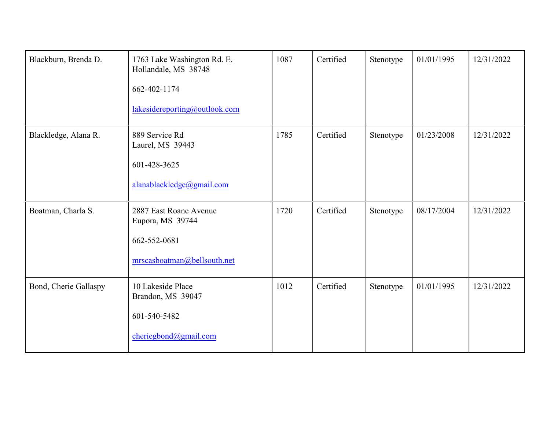| Blackburn, Brenda D.  | 1763 Lake Washington Rd. E.<br>Hollandale, MS 38748<br>662-402-1174<br>lakesidereporting@outlook.com | 1087 | Certified | Stenotype | 01/01/1995 | 12/31/2022 |
|-----------------------|------------------------------------------------------------------------------------------------------|------|-----------|-----------|------------|------------|
| Blackledge, Alana R.  | 889 Service Rd<br>Laurel, MS 39443<br>601-428-3625<br>alanablackledge@gmail.com                      | 1785 | Certified | Stenotype | 01/23/2008 | 12/31/2022 |
| Boatman, Charla S.    | 2887 East Roane Avenue<br>Eupora, MS 39744<br>662-552-0681<br>mrscasboatman@bellsouth.net            | 1720 | Certified | Stenotype | 08/17/2004 | 12/31/2022 |
| Bond, Cherie Gallaspy | 10 Lakeside Place<br>Brandon, MS 39047<br>601-540-5482<br>cheriegbond@gmail.com                      | 1012 | Certified | Stenotype | 01/01/1995 | 12/31/2022 |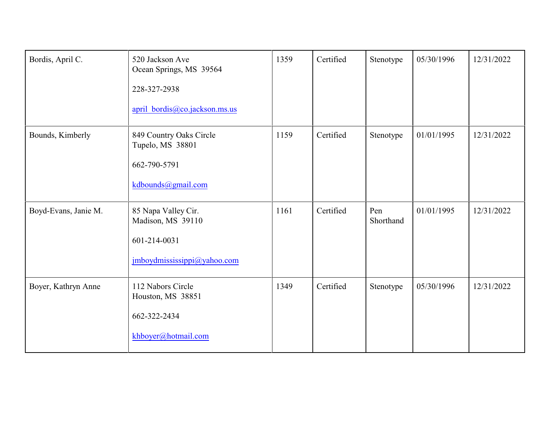| Bordis, April C.     | 520 Jackson Ave<br>Ocean Springs, MS 39564<br>228-327-2938<br>april bordis@co.jackson.ms.us | 1359 | Certified | Stenotype        | 05/30/1996 | 12/31/2022 |
|----------------------|---------------------------------------------------------------------------------------------|------|-----------|------------------|------------|------------|
| Bounds, Kimberly     | 849 Country Oaks Circle<br>Tupelo, MS 38801<br>662-790-5791<br>kdbounds@gmail.com           | 1159 | Certified | Stenotype        | 01/01/1995 | 12/31/2022 |
| Boyd-Evans, Janie M. | 85 Napa Valley Cir.<br>Madison, MS 39110<br>601-214-0031<br>jmboydmississippi@yahoo.com     | 1161 | Certified | Pen<br>Shorthand | 01/01/1995 | 12/31/2022 |
| Boyer, Kathryn Anne  | 112 Nabors Circle<br>Houston, MS 38851<br>662-322-2434<br>khboyer@hotmail.com               | 1349 | Certified | Stenotype        | 05/30/1996 | 12/31/2022 |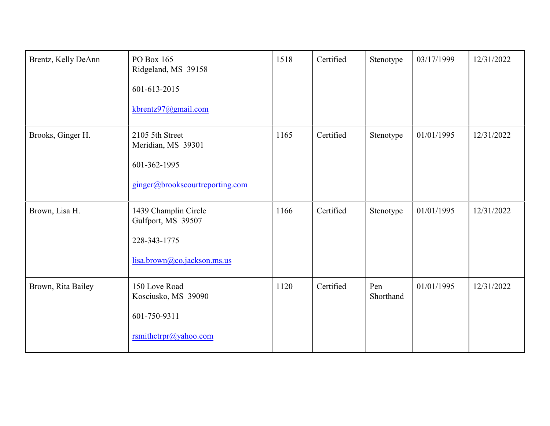| Brentz, Kelly DeAnn | PO Box 165<br>Ridgeland, MS 39158<br>601-613-2015<br>kbrentz97@gmail.com                  | 1518 | Certified | Stenotype        | 03/17/1999 | 12/31/2022 |
|---------------------|-------------------------------------------------------------------------------------------|------|-----------|------------------|------------|------------|
| Brooks, Ginger H.   | 2105 5th Street<br>Meridian, MS 39301<br>601-362-1995<br>ginger@brookscourtreporting.com  | 1165 | Certified | Stenotype        | 01/01/1995 | 12/31/2022 |
| Brown, Lisa H.      | 1439 Champlin Circle<br>Gulfport, MS 39507<br>228-343-1775<br>lisa.brown@co.jackson.ms.us | 1166 | Certified | Stenotype        | 01/01/1995 | 12/31/2022 |
| Brown, Rita Bailey  | 150 Love Road<br>Kosciusko, MS 39090<br>601-750-9311<br>rsmithctrpr@yahoo.com             | 1120 | Certified | Pen<br>Shorthand | 01/01/1995 | 12/31/2022 |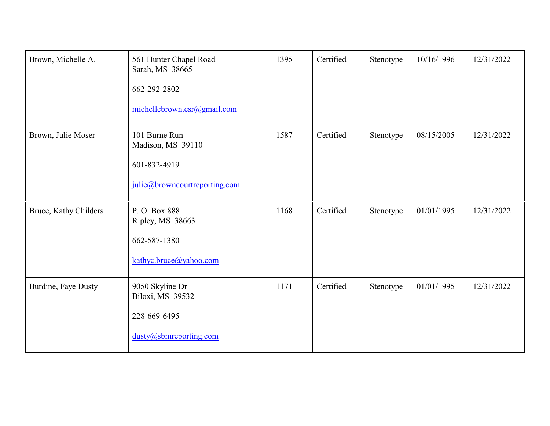| Brown, Michelle A.    | 561 Hunter Chapel Road<br>Sarah, MS 38665<br>662-292-2802<br>michellebrown.csr@gmail.com | 1395 | Certified | Stenotype | 10/16/1996 | 12/31/2022 |
|-----------------------|------------------------------------------------------------------------------------------|------|-----------|-----------|------------|------------|
| Brown, Julie Moser    | 101 Burne Run<br>Madison, MS 39110<br>601-832-4919<br>julie@browncourtreporting.com      | 1587 | Certified | Stenotype | 08/15/2005 | 12/31/2022 |
| Bruce, Kathy Childers | P.O. Box 888<br>Ripley, MS 38663<br>662-587-1380<br>kathyc.bruce@yahoo.com               | 1168 | Certified | Stenotype | 01/01/1995 | 12/31/2022 |
| Burdine, Faye Dusty   | 9050 Skyline Dr<br>Biloxi, MS 39532<br>228-669-6495<br>dusty@sbmreporting.com            | 1171 | Certified | Stenotype | 01/01/1995 | 12/31/2022 |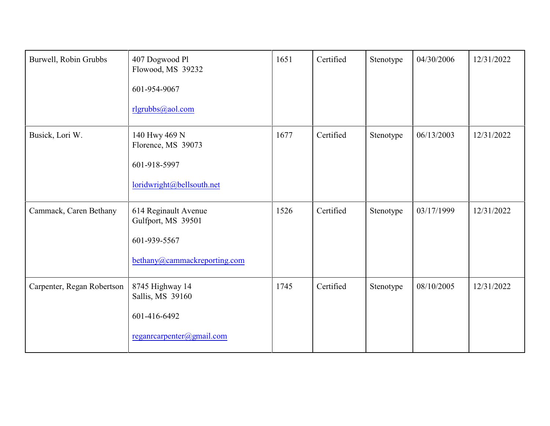| Burwell, Robin Grubbs      | 407 Dogwood Pl<br>Flowood, MS 39232<br>601-954-9067<br>rlgrubbs@aol.com                    | 1651 | Certified | Stenotype | 04/30/2006 | 12/31/2022 |
|----------------------------|--------------------------------------------------------------------------------------------|------|-----------|-----------|------------|------------|
| Busick, Lori W.            | 140 Hwy 469 N<br>Florence, MS 39073<br>601-918-5997<br>loridwright@bellsouth.net           | 1677 | Certified | Stenotype | 06/13/2003 | 12/31/2022 |
| Cammack, Caren Bethany     | 614 Reginault Avenue<br>Gulfport, MS 39501<br>601-939-5567<br>bethany@cammackreporting.com | 1526 | Certified | Stenotype | 03/17/1999 | 12/31/2022 |
| Carpenter, Regan Robertson | 8745 Highway 14<br>Sallis, MS 39160<br>601-416-6492<br>reganrearpenter@gmail.com           | 1745 | Certified | Stenotype | 08/10/2005 | 12/31/2022 |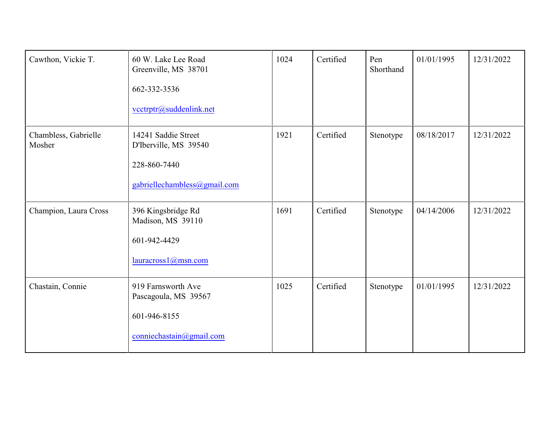| Cawthon, Vickie T.             | 60 W. Lake Lee Road<br>Greenville, MS 38701<br>662-332-3536<br>vcctrptr@suddenlink.net       | 1024 | Certified | Pen<br>Shorthand | 01/01/1995 | 12/31/2022 |
|--------------------------------|----------------------------------------------------------------------------------------------|------|-----------|------------------|------------|------------|
| Chambless, Gabrielle<br>Mosher | 14241 Saddie Street<br>D'Iberville, MS 39540<br>228-860-7440<br>gabriellechambless@gmail.com | 1921 | Certified | Stenotype        | 08/18/2017 | 12/31/2022 |
| Champion, Laura Cross          | 396 Kingsbridge Rd<br>Madison, MS 39110<br>601-942-4429<br>lauracross1@msn.com               | 1691 | Certified | Stenotype        | 04/14/2006 | 12/31/2022 |
| Chastain, Connie               | 919 Farnsworth Ave<br>Pascagoula, MS 39567<br>601-946-8155<br>conniechastain@gmail.com       | 1025 | Certified | Stenotype        | 01/01/1995 | 12/31/2022 |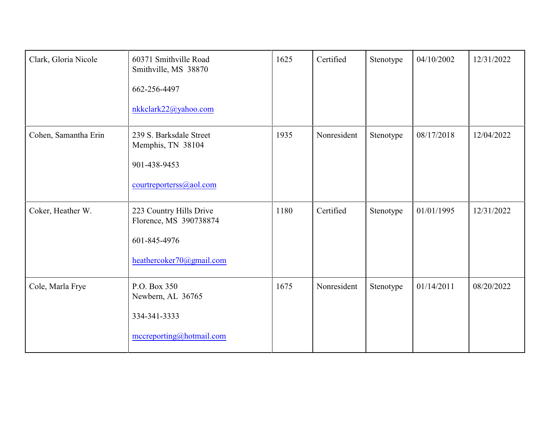| Clark, Gloria Nicole | 60371 Smithville Road<br>Smithville, MS 38870<br>662-256-4497<br>nkkclark22@yahoo.com         | 1625 | Certified   | Stenotype | 04/10/2002 | 12/31/2022 |
|----------------------|-----------------------------------------------------------------------------------------------|------|-------------|-----------|------------|------------|
| Cohen, Samantha Erin | 239 S. Barksdale Street<br>Memphis, TN 38104<br>901-438-9453<br>courtreporterss@aol.com       | 1935 | Nonresident | Stenotype | 08/17/2018 | 12/04/2022 |
| Coker, Heather W.    | 223 Country Hills Drive<br>Florence, MS 390738874<br>601-845-4976<br>heathercoker70@gmail.com | 1180 | Certified   | Stenotype | 01/01/1995 | 12/31/2022 |
| Cole, Marla Frye     | P.O. Box 350<br>Newbern, AL 36765<br>334-341-3333<br>mccreporting@hotmail.com                 | 1675 | Nonresident | Stenotype | 01/14/2011 | 08/20/2022 |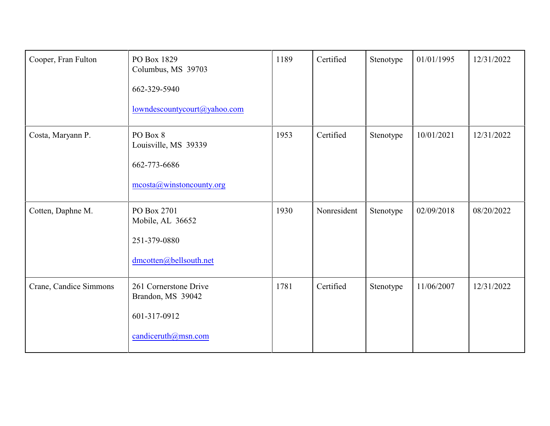| Cooper, Fran Fulton    | PO Box 1829<br>Columbus, MS 39703<br>662-329-5940<br>lowndescountycourt@yahoo.com | 1189 | Certified   | Stenotype | 01/01/1995 | 12/31/2022 |
|------------------------|-----------------------------------------------------------------------------------|------|-------------|-----------|------------|------------|
| Costa, Maryann P.      | PO Box 8<br>Louisville, MS 39339<br>662-773-6686<br>mcosta@winstoncounty.org      | 1953 | Certified   | Stenotype | 10/01/2021 | 12/31/2022 |
| Cotten, Daphne M.      | PO Box 2701<br>Mobile, AL 36652<br>251-379-0880<br>dmcotten@bellsouth.net         | 1930 | Nonresident | Stenotype | 02/09/2018 | 08/20/2022 |
| Crane, Candice Simmons | 261 Cornerstone Drive<br>Brandon, MS 39042<br>601-317-0912<br>candiceruth@msn.com | 1781 | Certified   | Stenotype | 11/06/2007 | 12/31/2022 |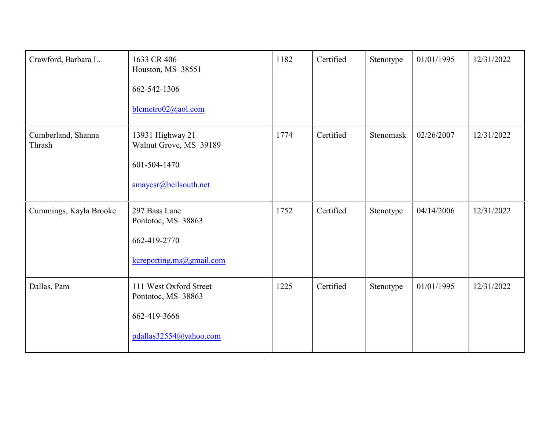| Crawford, Barbara L.         | 1633 CR 406<br>Houston, MS 38551<br>662-542-1306<br>blcmetro02@aol.com                 | 1182 | Certified | Stenotype | 01/01/1995 | 12/31/2022 |
|------------------------------|----------------------------------------------------------------------------------------|------|-----------|-----------|------------|------------|
| Cumberland, Shanna<br>Thrash | 13931 Highway 21<br>Walnut Grove, MS 39189<br>601-504-1470<br>smaycsr@bellsouth.net    | 1774 | Certified | Stenomask | 02/26/2007 | 12/31/2022 |
| Cummings, Kayla Brooke       | 297 Bass Lane<br>Pontotoc, MS 38863<br>662-419-2770<br>kcreporting.ms@gmail.com        | 1752 | Certified | Stenotype | 04/14/2006 | 12/31/2022 |
| Dallas, Pam                  | 111 West Oxford Street<br>Pontotoc, MS 38863<br>662-419-3666<br>pdallas32554@yahoo.com | 1225 | Certified | Stenotype | 01/01/1995 | 12/31/2022 |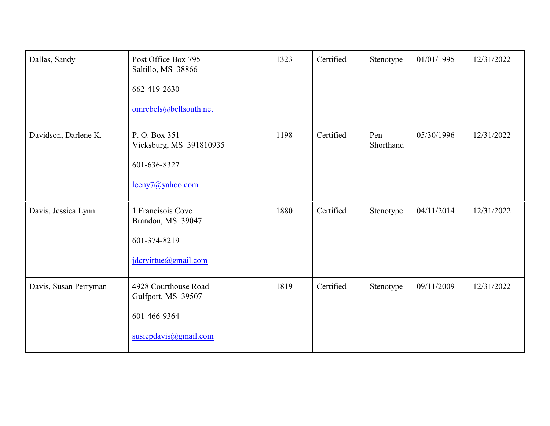| Dallas, Sandy         | Post Office Box 795<br>Saltillo, MS 38866<br>662-419-2630<br>omrebels@bellsouth.net | 1323 | Certified | Stenotype        | 01/01/1995 | 12/31/2022 |
|-----------------------|-------------------------------------------------------------------------------------|------|-----------|------------------|------------|------------|
| Davidson, Darlene K.  | P.O. Box 351<br>Vicksburg, MS 391810935<br>601-636-8327<br>leeny7@yahoo.com         | 1198 | Certified | Pen<br>Shorthand | 05/30/1996 | 12/31/2022 |
| Davis, Jessica Lynn   | 1 Francisois Cove<br>Brandon, MS 39047<br>601-374-8219<br>jdcrvirtue@gmail.com      | 1880 | Certified | Stenotype        | 04/11/2014 | 12/31/2022 |
| Davis, Susan Perryman | 4928 Courthouse Road<br>Gulfport, MS 39507<br>601-466-9364<br>susiepdavis@gmail.com | 1819 | Certified | Stenotype        | 09/11/2009 | 12/31/2022 |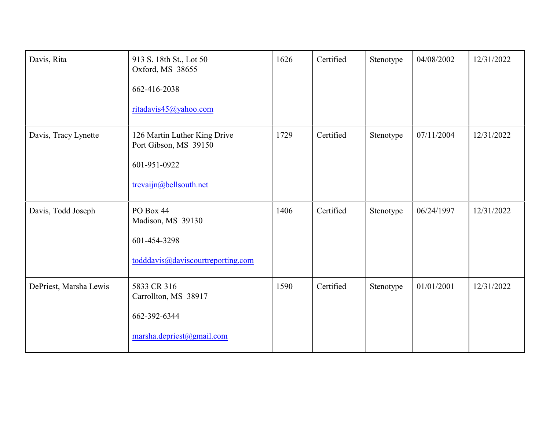| Davis, Rita            | 913 S. 18th St., Lot 50<br>Oxford, MS 38655<br>662-416-2038<br>ritadavis45@yahoo.com            | 1626 | Certified | Stenotype | 04/08/2002 | 12/31/2022 |
|------------------------|-------------------------------------------------------------------------------------------------|------|-----------|-----------|------------|------------|
| Davis, Tracy Lynette   | 126 Martin Luther King Drive<br>Port Gibson, MS 39150<br>601-951-0922<br>trevaijn@bellsouth.net | 1729 | Certified | Stenotype | 07/11/2004 | 12/31/2022 |
| Davis, Todd Joseph     | PO Box 44<br>Madison, MS 39130<br>601-454-3298<br>todddavis@daviscourtreporting.com             | 1406 | Certified | Stenotype | 06/24/1997 | 12/31/2022 |
| DePriest, Marsha Lewis | 5833 CR 316<br>Carrollton, MS 38917<br>662-392-6344<br>marsha.depriest@gmail.com                | 1590 | Certified | Stenotype | 01/01/2001 | 12/31/2022 |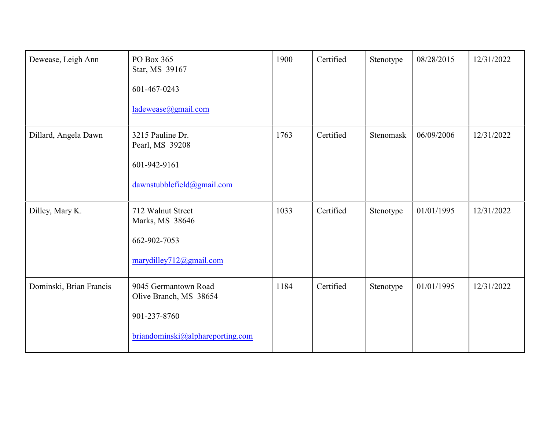| Dewease, Leigh Ann      | PO Box 365<br>Star, MS 39167<br>601-467-0243<br>ladewease@gmail.com                                | 1900 | Certified | Stenotype | 08/28/2015 | 12/31/2022 |
|-------------------------|----------------------------------------------------------------------------------------------------|------|-----------|-----------|------------|------------|
| Dillard, Angela Dawn    | 3215 Pauline Dr.<br>Pearl, MS 39208<br>601-942-9161<br>dawnstubblefield@gmail.com                  | 1763 | Certified | Stenomask | 06/09/2006 | 12/31/2022 |
| Dilley, Mary K.         | 712 Walnut Street<br>Marks, MS 38646<br>662-902-7053<br>marydilley712@gmail.com                    | 1033 | Certified | Stenotype | 01/01/1995 | 12/31/2022 |
| Dominski, Brian Francis | 9045 Germantown Road<br>Olive Branch, MS 38654<br>901-237-8760<br>briandominski@alphareporting.com | 1184 | Certified | Stenotype | 01/01/1995 | 12/31/2022 |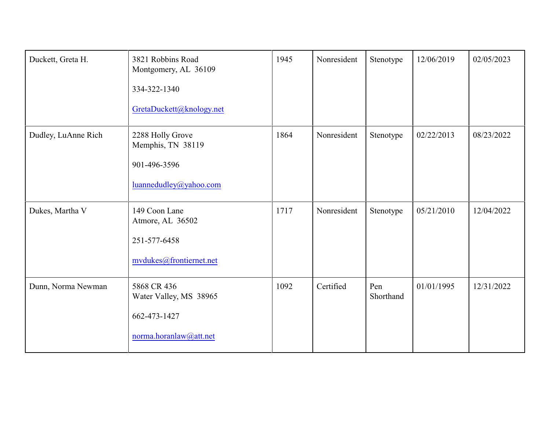| Duckett, Greta H.   | 3821 Robbins Road<br>Montgomery, AL 36109<br>334-322-1340<br>GretaDuckett@knology.net | 1945 | Nonresident | Stenotype        | 12/06/2019 | 02/05/2023 |
|---------------------|---------------------------------------------------------------------------------------|------|-------------|------------------|------------|------------|
| Dudley, LuAnne Rich | 2288 Holly Grove<br>Memphis, TN 38119<br>901-496-3596<br>luannedudley@yahoo.com       | 1864 | Nonresident | Stenotype        | 02/22/2013 | 08/23/2022 |
| Dukes, Martha V     | 149 Coon Lane<br>Atmore, AL 36502<br>251-577-6458<br>mvdukes@frontiernet.net          | 1717 | Nonresident | Stenotype        | 05/21/2010 | 12/04/2022 |
| Dunn, Norma Newman  | 5868 CR 436<br>Water Valley, MS 38965<br>662-473-1427<br>norma.horanlaw@att.net       | 1092 | Certified   | Pen<br>Shorthand | 01/01/1995 | 12/31/2022 |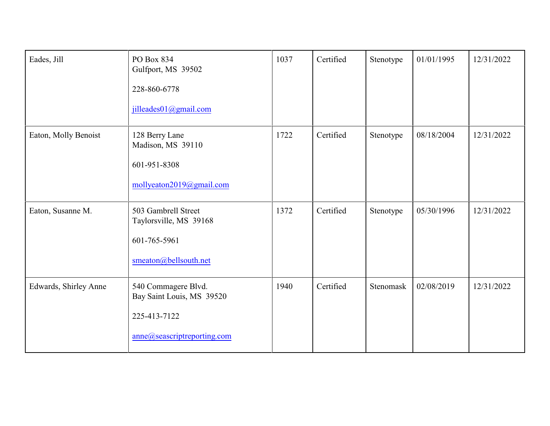| Eades, Jill           | PO Box 834<br>Gulfport, MS 39502<br>228-860-6778<br>jilleades01@gmail.com                       | 1037 | Certified | Stenotype | 01/01/1995 | 12/31/2022 |
|-----------------------|-------------------------------------------------------------------------------------------------|------|-----------|-----------|------------|------------|
| Eaton, Molly Benoist  | 128 Berry Lane<br>Madison, MS 39110<br>601-951-8308<br>mollyeaton2019@gmail.com                 | 1722 | Certified | Stenotype | 08/18/2004 | 12/31/2022 |
| Eaton, Susanne M.     | 503 Gambrell Street<br>Taylorsville, MS 39168<br>601-765-5961<br>smeaton@bellsouth.net          | 1372 | Certified | Stenotype | 05/30/1996 | 12/31/2022 |
| Edwards, Shirley Anne | 540 Commagere Blvd.<br>Bay Saint Louis, MS 39520<br>225-413-7122<br>anne@seascriptreporting.com | 1940 | Certified | Stenomask | 02/08/2019 | 12/31/2022 |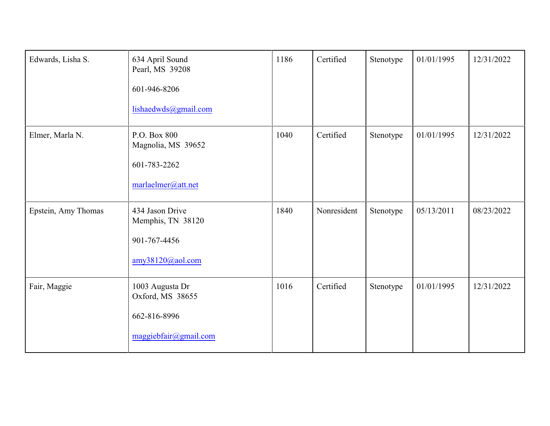| Edwards, Lisha S.   | 634 April Sound<br>Pearl, MS 39208<br>601-946-8206<br>lishaedwds@gmail.com   | 1186 | Certified   | Stenotype | 01/01/1995 | 12/31/2022 |
|---------------------|------------------------------------------------------------------------------|------|-------------|-----------|------------|------------|
| Elmer, Marla N.     | P.O. Box 800<br>Magnolia, MS 39652<br>601-783-2262<br>marlaelmer@att.net     | 1040 | Certified   | Stenotype | 01/01/1995 | 12/31/2022 |
| Epstein, Amy Thomas | 434 Jason Drive<br>Memphis, TN 38120<br>901-767-4456<br>amy38120@aol.com     | 1840 | Nonresident | Stenotype | 05/13/2011 | 08/23/2022 |
| Fair, Maggie        | 1003 Augusta Dr<br>Oxford, MS 38655<br>662-816-8996<br>maggiebfair@gmail.com | 1016 | Certified   | Stenotype | 01/01/1995 | 12/31/2022 |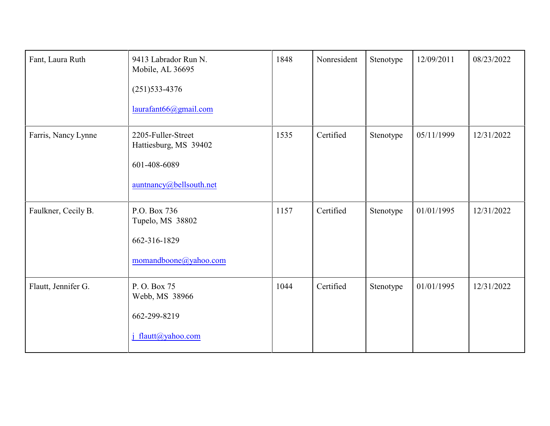| Fant, Laura Ruth    | 9413 Labrador Run N.<br>Mobile, AL 36695<br>$(251)$ 533-4376<br>laurafant66@gmail.com  | 1848 | Nonresident | Stenotype | 12/09/2011 | 08/23/2022 |
|---------------------|----------------------------------------------------------------------------------------|------|-------------|-----------|------------|------------|
| Farris, Nancy Lynne | 2205-Fuller-Street<br>Hattiesburg, MS 39402<br>601-408-6089<br>auntnancy@bellsouth.net | 1535 | Certified   | Stenotype | 05/11/1999 | 12/31/2022 |
| Faulkner, Cecily B. | P.O. Box 736<br>Tupelo, MS 38802<br>662-316-1829<br>momandboone@yahoo.com              | 1157 | Certified   | Stenotype | 01/01/1995 | 12/31/2022 |
| Flautt, Jennifer G. | P.O. Box 75<br>Webb, MS 38966<br>662-299-8219<br>j flautt@yahoo.com                    | 1044 | Certified   | Stenotype | 01/01/1995 | 12/31/2022 |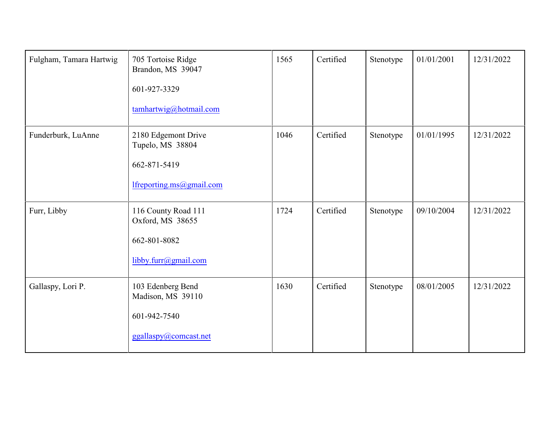| Fulgham, Tamara Hartwig | 705 Tortoise Ridge<br>Brandon, MS 39047<br>601-927-3329<br>tamhartwig@hotmail.com   | 1565 | Certified | Stenotype | 01/01/2001 | 12/31/2022 |
|-------------------------|-------------------------------------------------------------------------------------|------|-----------|-----------|------------|------------|
| Funderburk, LuAnne      | 2180 Edgemont Drive<br>Tupelo, MS 38804<br>662-871-5419<br>lfreporting.ms@gmail.com | 1046 | Certified | Stenotype | 01/01/1995 | 12/31/2022 |
| Furr, Libby             | 116 County Road 111<br>Oxford, MS 38655<br>662-801-8082<br>libby.furr@gmail.com     | 1724 | Certified | Stenotype | 09/10/2004 | 12/31/2022 |
| Gallaspy, Lori P.       | 103 Edenberg Bend<br>Madison, MS 39110<br>601-942-7540<br>ggallaspy@comcast.net     | 1630 | Certified | Stenotype | 08/01/2005 | 12/31/2022 |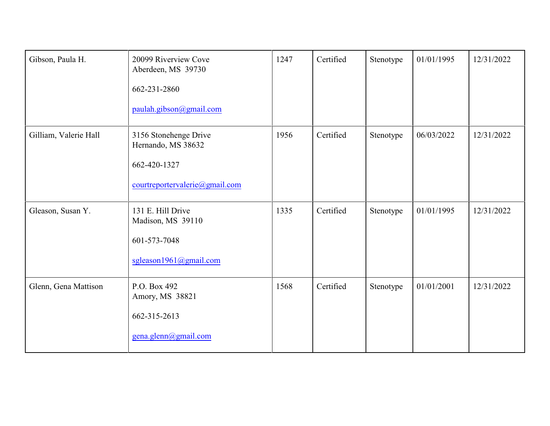| Gibson, Paula H.      | 20099 Riverview Cove<br>Aberdeen, MS 39730<br>662-231-2860<br>paulah.gibson@gmail.com         | 1247 | Certified | Stenotype | 01/01/1995 | 12/31/2022 |
|-----------------------|-----------------------------------------------------------------------------------------------|------|-----------|-----------|------------|------------|
| Gilliam, Valerie Hall | 3156 Stonehenge Drive<br>Hernando, MS 38632<br>662-420-1327<br>courtreportervalerie@gmail.com | 1956 | Certified | Stenotype | 06/03/2022 | 12/31/2022 |
| Gleason, Susan Y.     | 131 E. Hill Drive<br>Madison, MS 39110<br>601-573-7048<br>sgleason1961@gmail.com              | 1335 | Certified | Stenotype | 01/01/1995 | 12/31/2022 |
| Glenn, Gena Mattison  | P.O. Box 492<br>Amory, MS 38821<br>662-315-2613<br>gena.glenn@gmail.com                       | 1568 | Certified | Stenotype | 01/01/2001 | 12/31/2022 |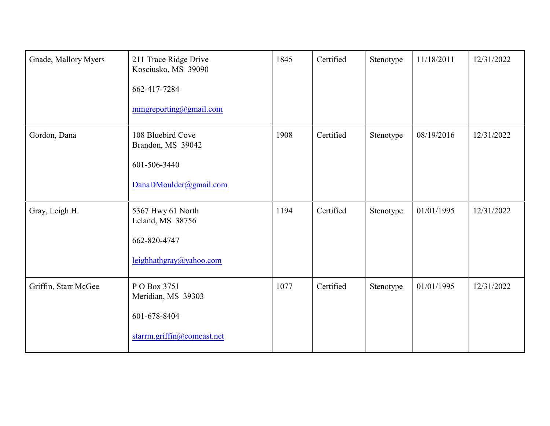| Gnade, Mallory Myers | 211 Trace Ridge Drive<br>Kosciusko, MS 39090<br>662-417-7284<br>mmgreporting@gmail.com | 1845 | Certified | Stenotype | 11/18/2011 | 12/31/2022 |
|----------------------|----------------------------------------------------------------------------------------|------|-----------|-----------|------------|------------|
| Gordon, Dana         | 108 Bluebird Cove<br>Brandon, MS 39042<br>601-506-3440<br>DanaDMoulder@gmail.com       | 1908 | Certified | Stenotype | 08/19/2016 | 12/31/2022 |
| Gray, Leigh H.       | 5367 Hwy 61 North<br>Leland, MS 38756<br>662-820-4747<br>leighhathgray@yahoo.com       | 1194 | Certified | Stenotype | 01/01/1995 | 12/31/2022 |
| Griffin, Starr McGee | P O Box 3751<br>Meridian, MS 39303<br>601-678-8404<br>starrm.griffin@comcast.net       | 1077 | Certified | Stenotype | 01/01/1995 | 12/31/2022 |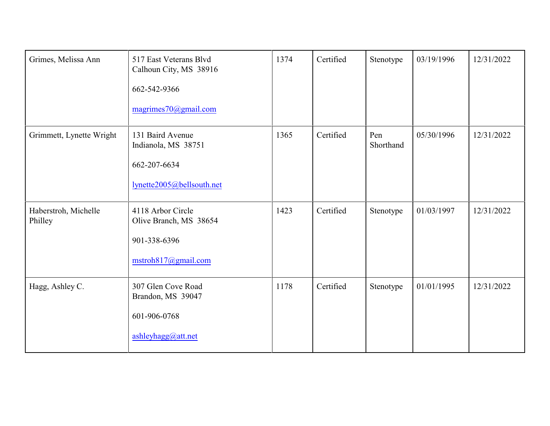| Grimes, Melissa Ann             | 517 East Veterans Blvd<br>Calhoun City, MS 38916<br>662-542-9366<br>magrimes70@gmail.com | 1374 | Certified | Stenotype        | 03/19/1996 | 12/31/2022 |
|---------------------------------|------------------------------------------------------------------------------------------|------|-----------|------------------|------------|------------|
| Grimmett, Lynette Wright        | 131 Baird Avenue<br>Indianola, MS 38751<br>662-207-6634<br>lynette2005@bellsouth.net     | 1365 | Certified | Pen<br>Shorthand | 05/30/1996 | 12/31/2022 |
| Haberstroh, Michelle<br>Philley | 4118 Arbor Circle<br>Olive Branch, MS 38654<br>901-338-6396<br>mstroh817@gmail.com       | 1423 | Certified | Stenotype        | 01/03/1997 | 12/31/2022 |
| Hagg, Ashley C.                 | 307 Glen Cove Road<br>Brandon, MS 39047<br>601-906-0768<br>ashleyhagg@att.net            | 1178 | Certified | Stenotype        | 01/01/1995 | 12/31/2022 |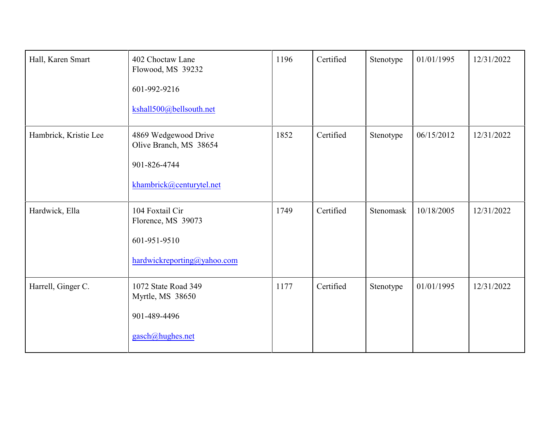| Hall, Karen Smart     | 402 Choctaw Lane<br>Flowood, MS 39232<br>601-992-9216<br>kshall500@bellsouth.net           | 1196 | Certified | Stenotype | 01/01/1995 | 12/31/2022 |
|-----------------------|--------------------------------------------------------------------------------------------|------|-----------|-----------|------------|------------|
| Hambrick, Kristie Lee | 4869 Wedgewood Drive<br>Olive Branch, MS 38654<br>901-826-4744<br>khambrick@centurytel.net | 1852 | Certified | Stenotype | 06/15/2012 | 12/31/2022 |
| Hardwick, Ella        | 104 Foxtail Cir<br>Florence, MS 39073<br>601-951-9510<br>hardwickreporting@yahoo.com       | 1749 | Certified | Stenomask | 10/18/2005 | 12/31/2022 |
| Harrell, Ginger C.    | 1072 State Road 349<br>Myrtle, MS 38650<br>901-489-4496<br>gasch@hughes.net                | 1177 | Certified | Stenotype | 01/01/1995 | 12/31/2022 |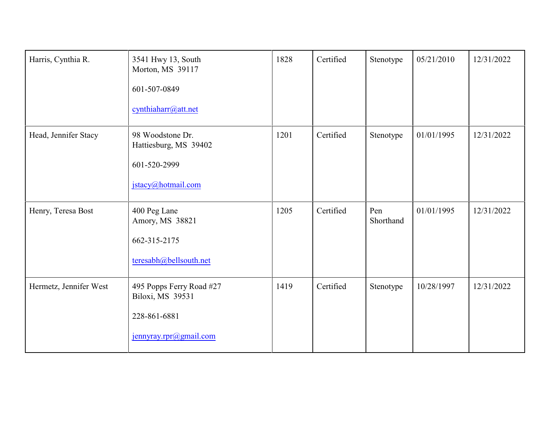| Harris, Cynthia R.     | 3541 Hwy 13, South<br>Morton, MS 39117<br>601-507-0849<br>cynthiaharr@att.net          | 1828 | Certified | Stenotype        | 05/21/2010 | 12/31/2022 |
|------------------------|----------------------------------------------------------------------------------------|------|-----------|------------------|------------|------------|
| Head, Jennifer Stacy   | 98 Woodstone Dr.<br>Hattiesburg, MS 39402<br>601-520-2999<br>jstacy@hotmail.com        | 1201 | Certified | Stenotype        | 01/01/1995 | 12/31/2022 |
| Henry, Teresa Bost     | 400 Peg Lane<br>Amory, MS 38821<br>662-315-2175<br>teresabh@bellsouth.net              | 1205 | Certified | Pen<br>Shorthand | 01/01/1995 | 12/31/2022 |
| Hermetz, Jennifer West | 495 Popps Ferry Road #27<br>Biloxi, MS 39531<br>228-861-6881<br>jennyray.rpr@gmail.com | 1419 | Certified | Stenotype        | 10/28/1997 | 12/31/2022 |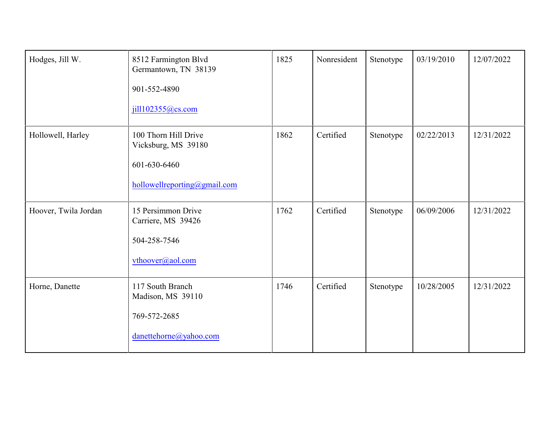| Hodges, Jill W.      | 8512 Farmington Blvd<br>Germantown, TN 38139<br>901-552-4890<br>jill102355@cs.com           | 1825 | Nonresident | Stenotype | 03/19/2010 | 12/07/2022 |
|----------------------|---------------------------------------------------------------------------------------------|------|-------------|-----------|------------|------------|
| Hollowell, Harley    | 100 Thorn Hill Drive<br>Vicksburg, MS 39180<br>601-630-6460<br>hollowellreporting@gmail.com | 1862 | Certified   | Stenotype | 02/22/2013 | 12/31/2022 |
| Hoover, Twila Jordan | 15 Persimmon Drive<br>Carriere, MS 39426<br>504-258-7546<br>vthoover@aol.com                | 1762 | Certified   | Stenotype | 06/09/2006 | 12/31/2022 |
| Horne, Danette       | 117 South Branch<br>Madison, MS 39110<br>769-572-2685<br>danettehorne@yahoo.com             | 1746 | Certified   | Stenotype | 10/28/2005 | 12/31/2022 |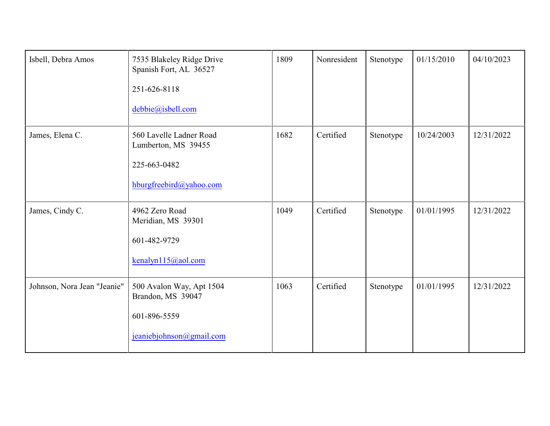| Isbell, Debra Amos          | 7535 Blakeley Ridge Drive<br>Spanish Fort, AL 36527<br>251-626-8118<br>debbie@isbell.com  | 1809 | Nonresident | Stenotype | 01/15/2010 | 04/10/2023 |
|-----------------------------|-------------------------------------------------------------------------------------------|------|-------------|-----------|------------|------------|
| James, Elena C.             | 560 Lavelle Ladner Road<br>Lumberton, MS 39455<br>225-663-0482<br>hburgfreebird@yahoo.com | 1682 | Certified   | Stenotype | 10/24/2003 | 12/31/2022 |
| James, Cindy C.             | 4962 Zero Road<br>Meridian, MS 39301<br>601-482-9729<br>kenalyn115@aol.com                | 1049 | Certified   | Stenotype | 01/01/1995 | 12/31/2022 |
| Johnson, Nora Jean "Jeanie" | 500 Avalon Way, Apt 1504<br>Brandon, MS 39047<br>601-896-5559<br>jeaniebjohnson@gmail.com | 1063 | Certified   | Stenotype | 01/01/1995 | 12/31/2022 |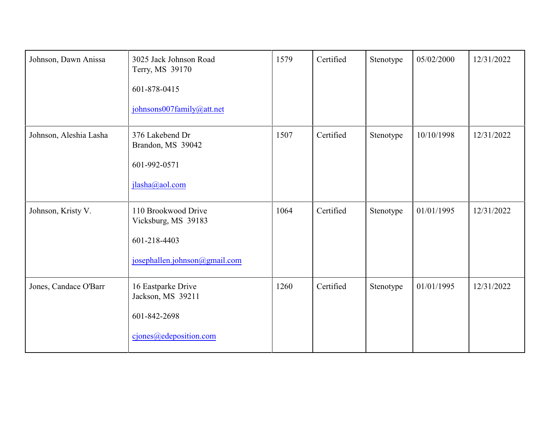| Johnson, Dawn Anissa   | 3025 Jack Johnson Road<br>Terry, MS 39170<br>601-878-0415<br>johnsons007family@att.net      | 1579 | Certified | Stenotype | 05/02/2000 | 12/31/2022 |
|------------------------|---------------------------------------------------------------------------------------------|------|-----------|-----------|------------|------------|
| Johnson, Aleshia Lasha | 376 Lakebend Dr<br>Brandon, MS 39042<br>601-992-0571<br>jlasha@aol.com                      | 1507 | Certified | Stenotype | 10/10/1998 | 12/31/2022 |
| Johnson, Kristy V.     | 110 Brookwood Drive<br>Vicksburg, MS 39183<br>601-218-4403<br>josephallen.johnson@gmail.com | 1064 | Certified | Stenotype | 01/01/1995 | 12/31/2022 |
| Jones, Candace O'Barr  | 16 Eastparke Drive<br>Jackson, MS 39211<br>601-842-2698<br>cjones@edeposition.com           | 1260 | Certified | Stenotype | 01/01/1995 | 12/31/2022 |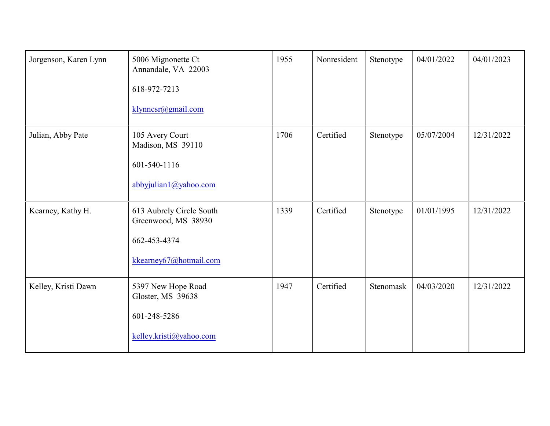| Jorgenson, Karen Lynn | 5006 Mignonette Ct<br>Annandale, VA 22003<br>618-972-7213<br>klynncsr@gmail.com           | 1955 | Nonresident | Stenotype | 04/01/2022 | 04/01/2023 |
|-----------------------|-------------------------------------------------------------------------------------------|------|-------------|-----------|------------|------------|
| Julian, Abby Pate     | 105 Avery Court<br>Madison, MS 39110<br>601-540-1116<br>abbyjulian1@yahoo.com             | 1706 | Certified   | Stenotype | 05/07/2004 | 12/31/2022 |
| Kearney, Kathy H.     | 613 Aubrely Circle South<br>Greenwood, MS 38930<br>662-453-4374<br>kkearney67@hotmail.com | 1339 | Certified   | Stenotype | 01/01/1995 | 12/31/2022 |
| Kelley, Kristi Dawn   | 5397 New Hope Road<br>Gloster, MS 39638<br>601-248-5286<br>kelley.kristi@yahoo.com        | 1947 | Certified   | Stenomask | 04/03/2020 | 12/31/2022 |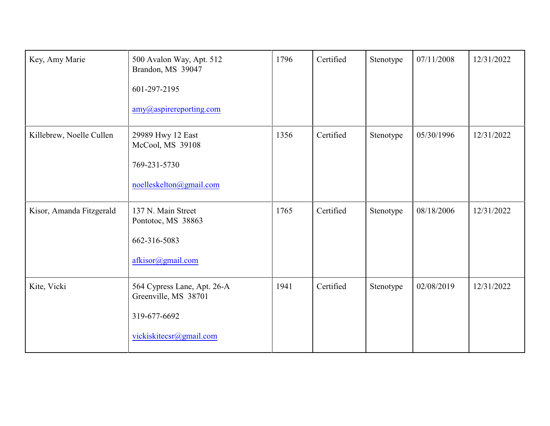| Key, Amy Marie           | 500 Avalon Way, Apt. 512<br>Brandon, MS 39047<br>601-297-2195<br>amy@aspirereporting.com       | 1796 | Certified | Stenotype | 07/11/2008 | 12/31/2022 |
|--------------------------|------------------------------------------------------------------------------------------------|------|-----------|-----------|------------|------------|
| Killebrew, Noelle Cullen | 29989 Hwy 12 East<br>McCool, MS 39108<br>769-231-5730<br>noelleskelton@gmail.com               | 1356 | Certified | Stenotype | 05/30/1996 | 12/31/2022 |
| Kisor, Amanda Fitzgerald | 137 N. Main Street<br>Pontotoc, MS 38863<br>662-316-5083<br>afkisor@gmail.com                  | 1765 | Certified | Stenotype | 08/18/2006 | 12/31/2022 |
| Kite, Vicki              | 564 Cypress Lane, Apt. 26-A<br>Greenville, MS 38701<br>319-677-6692<br>vickiskitecsr@gmail.com | 1941 | Certified | Stenotype | 02/08/2019 | 12/31/2022 |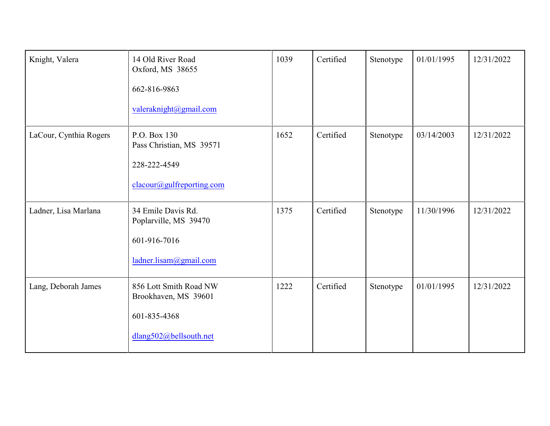| Knight, Valera         | 14 Old River Road<br>Oxford, MS 38655<br>662-816-9863<br>valeraknight@gmail.com          | 1039 | Certified | Stenotype | 01/01/1995 | 12/31/2022 |
|------------------------|------------------------------------------------------------------------------------------|------|-----------|-----------|------------|------------|
| LaCour, Cynthia Rogers | P.O. Box 130<br>Pass Christian, MS 39571<br>228-222-4549<br>clacour@gulfreporting.com    | 1652 | Certified | Stenotype | 03/14/2003 | 12/31/2022 |
| Ladner, Lisa Marlana   | 34 Emile Davis Rd.<br>Poplarville, MS 39470<br>601-916-7016<br>ladner.lisam@gmail.com    | 1375 | Certified | Stenotype | 11/30/1996 | 12/31/2022 |
| Lang, Deborah James    | 856 Lott Smith Road NW<br>Brookhaven, MS 39601<br>601-835-4368<br>dlang502@bellsouth.net | 1222 | Certified | Stenotype | 01/01/1995 | 12/31/2022 |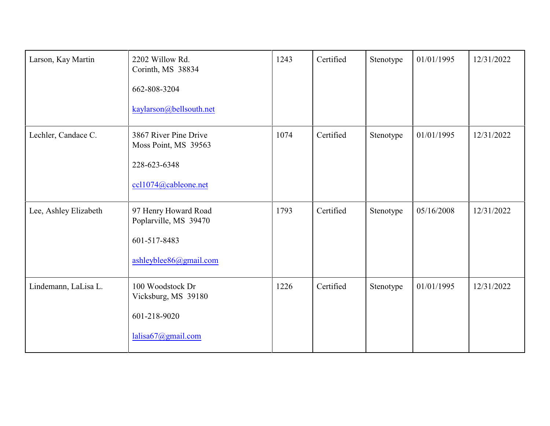| Larson, Kay Martin    | 2202 Willow Rd.<br>Corinth, MS 38834<br>662-808-3204<br>kaylarson@bellsouth.net         | 1243 | Certified | Stenotype | 01/01/1995 | 12/31/2022 |
|-----------------------|-----------------------------------------------------------------------------------------|------|-----------|-----------|------------|------------|
| Lechler, Candace C.   | 3867 River Pine Drive<br>Moss Point, MS 39563<br>228-623-6348<br>ccl1074@cableone.net   | 1074 | Certified | Stenotype | 01/01/1995 | 12/31/2022 |
| Lee, Ashley Elizabeth | 97 Henry Howard Road<br>Poplarville, MS 39470<br>601-517-8483<br>ashleyblee86@gmail.com | 1793 | Certified | Stenotype | 05/16/2008 | 12/31/2022 |
| Lindemann, LaLisa L.  | 100 Woodstock Dr<br>Vicksburg, MS 39180<br>601-218-9020<br>lalisa67@gmail.com           | 1226 | Certified | Stenotype | 01/01/1995 | 12/31/2022 |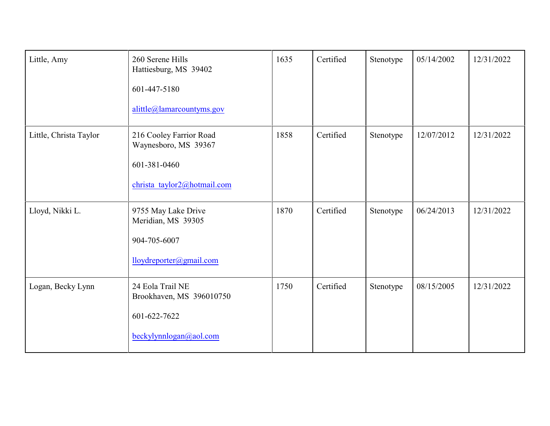| Little, Amy            | 260 Serene Hills<br>Hattiesburg, MS 39402<br>601-447-5180<br>alittle@lamarcountyms.gov         | 1635 | Certified | Stenotype | 05/14/2002 | 12/31/2022 |
|------------------------|------------------------------------------------------------------------------------------------|------|-----------|-----------|------------|------------|
| Little, Christa Taylor | 216 Cooley Farrior Road<br>Waynesboro, MS 39367<br>601-381-0460<br>christa taylor2@hotmail.com | 1858 | Certified | Stenotype | 12/07/2012 | 12/31/2022 |
| Lloyd, Nikki L.        | 9755 May Lake Drive<br>Meridian, MS 39305<br>904-705-6007<br>lloydreporter@gmail.com           | 1870 | Certified | Stenotype | 06/24/2013 | 12/31/2022 |
| Logan, Becky Lynn      | 24 Eola Trail NE<br>Brookhaven, MS 396010750<br>601-622-7622<br>beckylynnlogan@aol.com         | 1750 | Certified | Stenotype | 08/15/2005 | 12/31/2022 |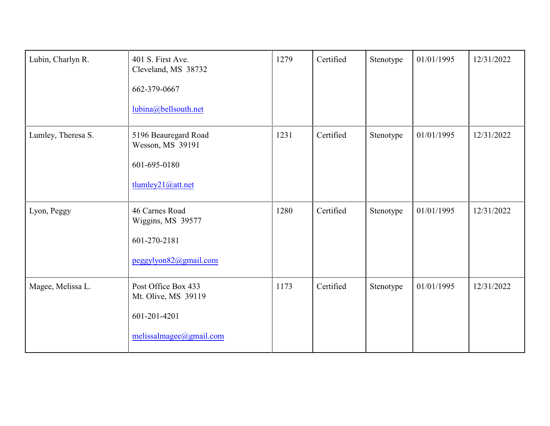| Lubin, Charlyn R.  | 401 S. First Ave.<br>Cleveland, MS 38732<br>662-379-0667<br>lubina@bellsouth.net      | 1279 | Certified | Stenotype | 01/01/1995 | 12/31/2022 |
|--------------------|---------------------------------------------------------------------------------------|------|-----------|-----------|------------|------------|
| Lumley, Theresa S. | 5196 Beauregard Road<br>Wesson, MS 39191<br>601-695-0180<br>tlumley21@att.net         | 1231 | Certified | Stenotype | 01/01/1995 | 12/31/2022 |
| Lyon, Peggy        | 46 Carnes Road<br>Wiggins, MS 39577<br>601-270-2181<br>peggylyon82@gmail.com          | 1280 | Certified | Stenotype | 01/01/1995 | 12/31/2022 |
| Magee, Melissa L.  | Post Office Box 433<br>Mt. Olive, MS 39119<br>601-201-4201<br>melissalmagee@gmail.com | 1173 | Certified | Stenotype | 01/01/1995 | 12/31/2022 |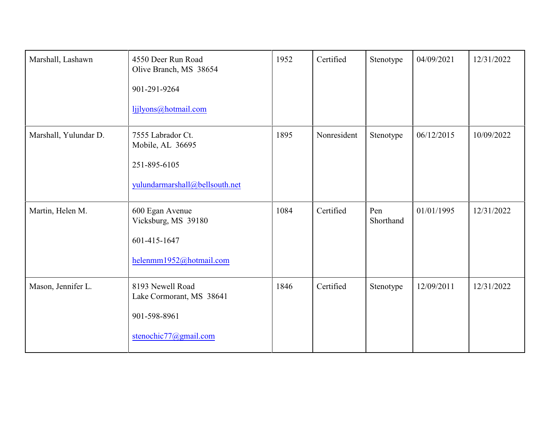| Marshall, Lashawn     | 4550 Deer Run Road<br>Olive Branch, MS 38654<br>901-291-9264<br>ljjlyons@hotmail.com    | 1952 | Certified   | Stenotype        | 04/09/2021 | 12/31/2022 |
|-----------------------|-----------------------------------------------------------------------------------------|------|-------------|------------------|------------|------------|
| Marshall, Yulundar D. | 7555 Labrador Ct.<br>Mobile, AL 36695<br>251-895-6105<br>yulundarmarshall@bellsouth.net | 1895 | Nonresident | Stenotype        | 06/12/2015 | 10/09/2022 |
| Martin, Helen M.      | 600 Egan Avenue<br>Vicksburg, MS 39180<br>601-415-1647<br>helenmm1952@hotmail.com       | 1084 | Certified   | Pen<br>Shorthand | 01/01/1995 | 12/31/2022 |
| Mason, Jennifer L.    | 8193 Newell Road<br>Lake Cormorant, MS 38641<br>901-598-8961<br>stenochic77@gmail.com   | 1846 | Certified   | Stenotype        | 12/09/2011 | 12/31/2022 |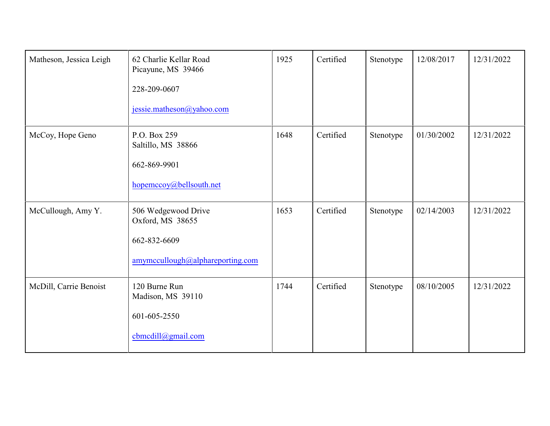| Matheson, Jessica Leigh | 62 Charlie Kellar Road<br>Picayune, MS 39466<br>228-209-0607<br>jessie.matheson@yahoo.com   | 1925 | Certified | Stenotype | 12/08/2017 | 12/31/2022 |
|-------------------------|---------------------------------------------------------------------------------------------|------|-----------|-----------|------------|------------|
| McCoy, Hope Geno        | P.O. Box 259<br>Saltillo, MS 38866<br>662-869-9901<br>hopemccoy@bellsouth.net               | 1648 | Certified | Stenotype | 01/30/2002 | 12/31/2022 |
| McCullough, Amy Y.      | 506 Wedgewood Drive<br>Oxford, MS 38655<br>662-832-6609<br>amymccullough@alphareporting.com | 1653 | Certified | Stenotype | 02/14/2003 | 12/31/2022 |
| McDill, Carrie Benoist  | 120 Burne Run<br>Madison, MS 39110<br>601-605-2550<br>cbmcdill@gmail.com                    | 1744 | Certified | Stenotype | 08/10/2005 | 12/31/2022 |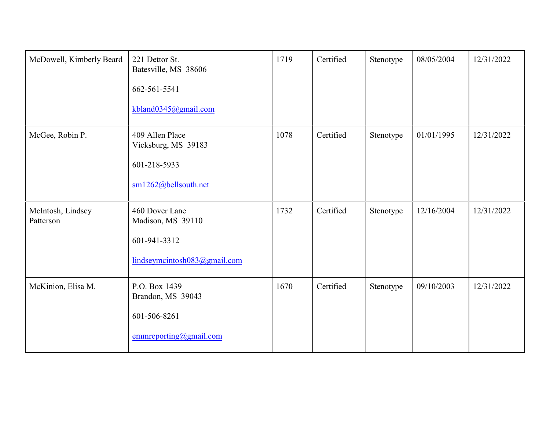| McDowell, Kimberly Beard       | 221 Dettor St.<br>Batesville, MS 38606<br>662-561-5541<br>kbland0345@gmail.com      | 1719 | Certified | Stenotype | 08/05/2004 | 12/31/2022 |
|--------------------------------|-------------------------------------------------------------------------------------|------|-----------|-----------|------------|------------|
| McGee, Robin P.                | 409 Allen Place<br>Vicksburg, MS 39183<br>601-218-5933<br>sm1262@bellsouth.net      | 1078 | Certified | Stenotype | 01/01/1995 | 12/31/2022 |
| McIntosh, Lindsey<br>Patterson | 460 Dover Lane<br>Madison, MS 39110<br>601-941-3312<br>lindseymcintosh083@gmail.com | 1732 | Certified | Stenotype | 12/16/2004 | 12/31/2022 |
| McKinion, Elisa M.             | P.O. Box 1439<br>Brandon, MS 39043<br>601-506-8261<br>emmerporting@gmail.com        | 1670 | Certified | Stenotype | 09/10/2003 | 12/31/2022 |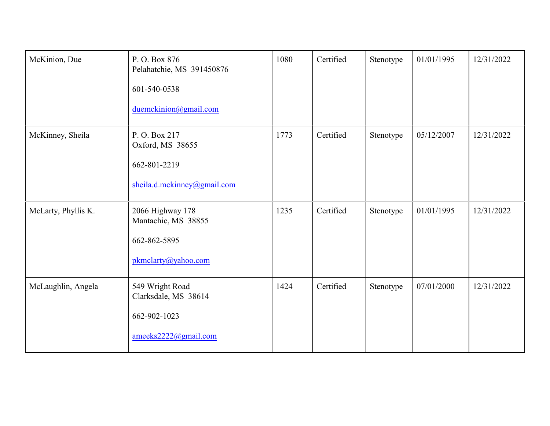| McKinion, Due       | P.O. Box 876<br>Pelahatchie, MS 391450876<br>601-540-0538<br>duemckinion@gmail.com | 1080 | Certified | Stenotype | 01/01/1995 | 12/31/2022 |
|---------------------|------------------------------------------------------------------------------------|------|-----------|-----------|------------|------------|
| McKinney, Sheila    | P.O. Box 217<br>Oxford, MS 38655<br>662-801-2219<br>sheila.d.mckinney@gmail.com    | 1773 | Certified | Stenotype | 05/12/2007 | 12/31/2022 |
| McLarty, Phyllis K. | 2066 Highway 178<br>Mantachie, MS 38855<br>662-862-5895<br>pkmclarty@yahoo.com     | 1235 | Certified | Stenotype | 01/01/1995 | 12/31/2022 |
| McLaughlin, Angela  | 549 Wright Road<br>Clarksdale, MS 38614<br>662-902-1023<br>ameeks2222@gmail.com    | 1424 | Certified | Stenotype | 07/01/2000 | 12/31/2022 |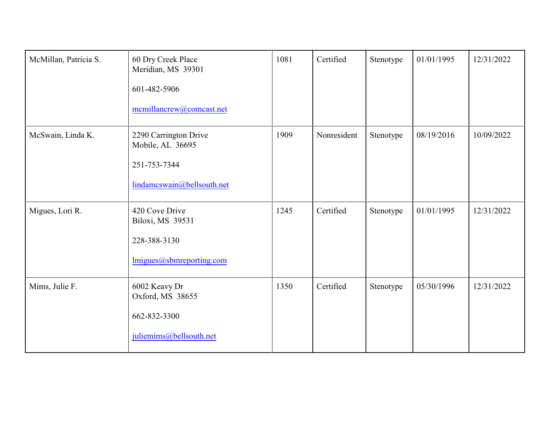| McMillan, Patricia S. | 60 Dry Creek Place<br>Meridian, MS 39301<br>601-482-5906<br>mcmillancrew@comcast.net    | 1081 | Certified   | Stenotype | 01/01/1995 | 12/31/2022 |
|-----------------------|-----------------------------------------------------------------------------------------|------|-------------|-----------|------------|------------|
| McSwain, Linda K.     | 2290 Carrington Drive<br>Mobile, AL 36695<br>251-753-7344<br>lindamcswain@bellsouth.net | 1909 | Nonresident | Stenotype | 08/19/2016 | 10/09/2022 |
| Migues, Lori R.       | 420 Cove Drive<br>Biloxi, MS 39531<br>228-388-3130<br>lmigues@sbmreporting.com          | 1245 | Certified   | Stenotype | 01/01/1995 | 12/31/2022 |
| Mims, Julie F.        | 6002 Keavy Dr<br>Oxford, MS 38655<br>662-832-3300<br>juliemims@bellsouth.net            | 1350 | Certified   | Stenotype | 05/30/1996 | 12/31/2022 |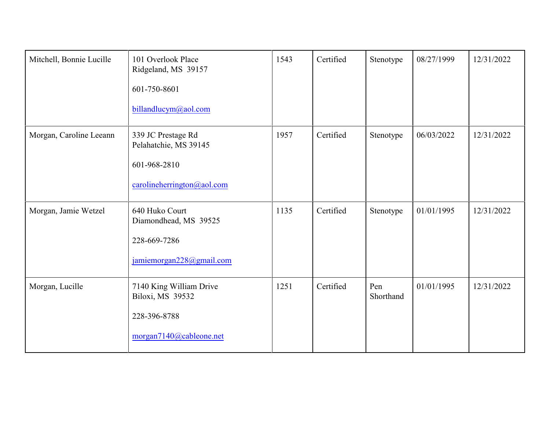| Mitchell, Bonnie Lucille | 101 Overlook Place<br>Ridgeland, MS 39157<br>601-750-8601<br>billandlucym@aol.com         | 1543 | Certified | Stenotype        | 08/27/1999 | 12/31/2022 |
|--------------------------|-------------------------------------------------------------------------------------------|------|-----------|------------------|------------|------------|
| Morgan, Caroline Leeann  | 339 JC Prestage Rd<br>Pelahatchie, MS 39145<br>601-968-2810<br>carolineherrington@aol.com | 1957 | Certified | Stenotype        | 06/03/2022 | 12/31/2022 |
| Morgan, Jamie Wetzel     | 640 Huko Court<br>Diamondhead, MS 39525<br>228-669-7286<br>jamiemorgan228@gmail.com       | 1135 | Certified | Stenotype        | 01/01/1995 | 12/31/2022 |
| Morgan, Lucille          | 7140 King William Drive<br>Biloxi, MS 39532<br>228-396-8788<br>morgan7140@cableone.net    | 1251 | Certified | Pen<br>Shorthand | 01/01/1995 | 12/31/2022 |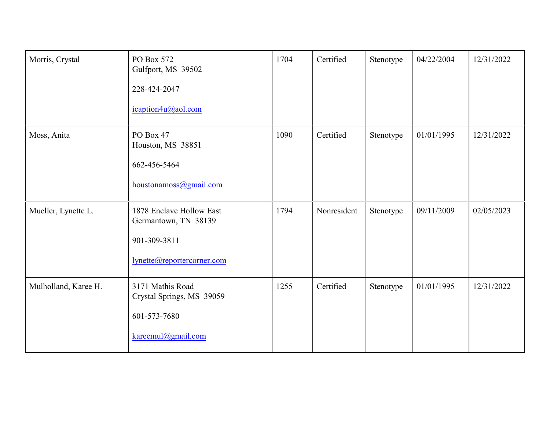| Morris, Crystal      | PO Box 572<br>Gulfport, MS 39502<br>228-424-2047<br>icaption4u@aol.com                         | 1704 | Certified   | Stenotype | 04/22/2004 | 12/31/2022 |
|----------------------|------------------------------------------------------------------------------------------------|------|-------------|-----------|------------|------------|
| Moss, Anita          | PO Box 47<br>Houston, MS 38851<br>662-456-5464<br>houstonamoss@gmail.com                       | 1090 | Certified   | Stenotype | 01/01/1995 | 12/31/2022 |
| Mueller, Lynette L.  | 1878 Enclave Hollow East<br>Germantown, TN 38139<br>901-309-3811<br>lynette@reportercorner.com | 1794 | Nonresident | Stenotype | 09/11/2009 | 02/05/2023 |
| Mulholland, Karee H. | 3171 Mathis Road<br>Crystal Springs, MS 39059<br>601-573-7680<br>kareemul@gmail.com            | 1255 | Certified   | Stenotype | 01/01/1995 | 12/31/2022 |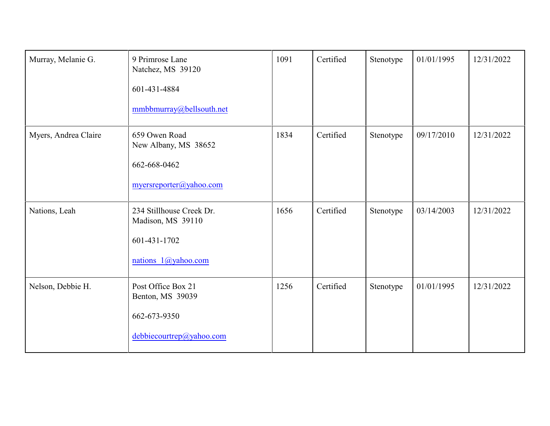| Murray, Melanie G.   | 9 Primrose Lane<br>Natchez, MS 39120<br>601-431-4884<br>mmbbmurray@bellsouth.net     | 1091 | Certified | Stenotype | 01/01/1995 | 12/31/2022 |
|----------------------|--------------------------------------------------------------------------------------|------|-----------|-----------|------------|------------|
| Myers, Andrea Claire | 659 Owen Road<br>New Albany, MS 38652<br>662-668-0462<br>myersreporter@yahoo.com     | 1834 | Certified | Stenotype | 09/17/2010 | 12/31/2022 |
| Nations, Leah        | 234 Stillhouse Creek Dr.<br>Madison, MS 39110<br>601-431-1702<br>nations 1@yahoo.com | 1656 | Certified | Stenotype | 03/14/2003 | 12/31/2022 |
| Nelson, Debbie H.    | Post Office Box 21<br>Benton, MS 39039<br>662-673-9350<br>debbiecourtrep@yahoo.com   | 1256 | Certified | Stenotype | 01/01/1995 | 12/31/2022 |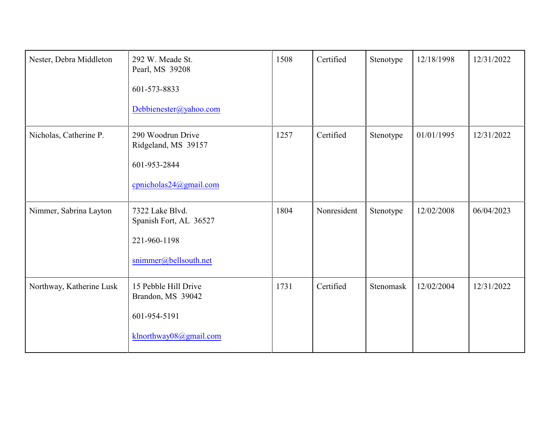| Nester, Debra Middleton  | 292 W. Meade St.<br>Pearl, MS 39208<br>601-573-8833<br>Debbienester@yahoo.com       | 1508 | Certified   | Stenotype | 12/18/1998 | 12/31/2022 |
|--------------------------|-------------------------------------------------------------------------------------|------|-------------|-----------|------------|------------|
| Nicholas, Catherine P.   | 290 Woodrun Drive<br>Ridgeland, MS 39157<br>601-953-2844<br>cpnicholas24@gmail.com  | 1257 | Certified   | Stenotype | 01/01/1995 | 12/31/2022 |
| Nimmer, Sabrina Layton   | 7322 Lake Blvd.<br>Spanish Fort, AL 36527<br>221-960-1198<br>snimmer@bellsouth.net  | 1804 | Nonresident | Stenotype | 12/02/2008 | 06/04/2023 |
| Northway, Katherine Lusk | 15 Pebble Hill Drive<br>Brandon, MS 39042<br>601-954-5191<br>klnorthway08@gmail.com | 1731 | Certified   | Stenomask | 12/02/2004 | 12/31/2022 |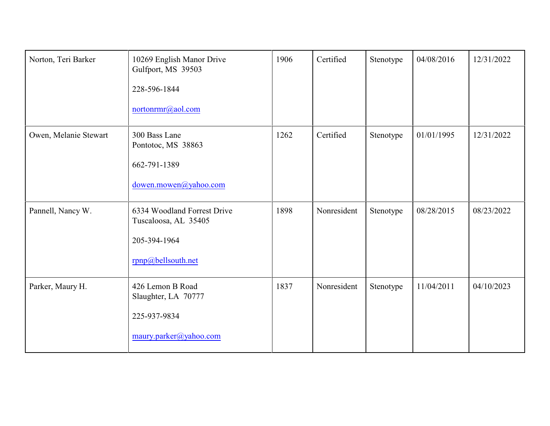| Norton, Teri Barker   | 10269 English Manor Drive<br>Gulfport, MS 39503<br>228-596-1844<br>nortonrmr@aol.com      | 1906 | Certified   | Stenotype | 04/08/2016 | 12/31/2022 |
|-----------------------|-------------------------------------------------------------------------------------------|------|-------------|-----------|------------|------------|
| Owen, Melanie Stewart | 300 Bass Lane<br>Pontotoc, MS 38863<br>662-791-1389<br>dowen.mowen@yahoo.com              | 1262 | Certified   | Stenotype | 01/01/1995 | 12/31/2022 |
| Pannell, Nancy W.     | 6334 Woodland Forrest Drive<br>Tuscaloosa, AL 35405<br>205-394-1964<br>rpnp@bellsouth.net | 1898 | Nonresident | Stenotype | 08/28/2015 | 08/23/2022 |
| Parker, Maury H.      | 426 Lemon B Road<br>Slaughter, LA 70777<br>225-937-9834<br>maury.parker@yahoo.com         | 1837 | Nonresident | Stenotype | 11/04/2011 | 04/10/2023 |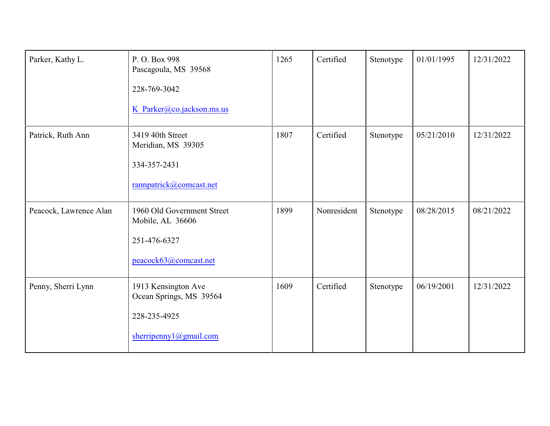| Parker, Kathy L.       | P.O. Box 998<br>Pascagoula, MS 39568<br>228-769-3042<br>K Parker@co.jackson.ms.us        | 1265 | Certified   | Stenotype | 01/01/1995 | 12/31/2022 |
|------------------------|------------------------------------------------------------------------------------------|------|-------------|-----------|------------|------------|
| Patrick, Ruth Ann      | 3419 40th Street<br>Meridian, MS 39305<br>334-357-2431<br>rannpatrick@comcast.net        | 1807 | Certified   | Stenotype | 05/21/2010 | 12/31/2022 |
| Peacock, Lawrence Alan | 1960 Old Government Street<br>Mobile, AL 36606<br>251-476-6327<br>peacock63@comcast.net  | 1899 | Nonresident | Stenotype | 08/28/2015 | 08/21/2022 |
| Penny, Sherri Lynn     | 1913 Kensington Ave<br>Ocean Springs, MS 39564<br>228-235-4925<br>sherripennyl@gmail.com | 1609 | Certified   | Stenotype | 06/19/2001 | 12/31/2022 |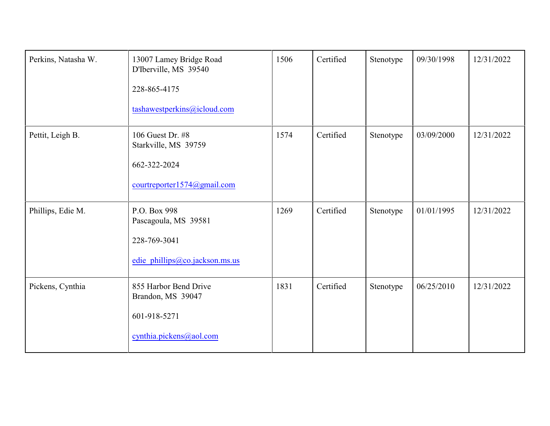| Perkins, Natasha W. | 13007 Lamey Bridge Road<br>D'Iberville, MS 39540<br>228-865-4175<br>tashawestperkins@icloud.com | 1506 | Certified | Stenotype | 09/30/1998 | 12/31/2022 |
|---------------------|-------------------------------------------------------------------------------------------------|------|-----------|-----------|------------|------------|
| Pettit, Leigh B.    | 106 Guest Dr. #8<br>Starkville, MS 39759<br>662-322-2024<br>courtreporter1574@gmail.com         | 1574 | Certified | Stenotype | 03/09/2000 | 12/31/2022 |
| Phillips, Edie M.   | P.O. Box 998<br>Pascagoula, MS 39581<br>228-769-3041<br>edie phillips@co.jackson.ms.us          | 1269 | Certified | Stenotype | 01/01/1995 | 12/31/2022 |
| Pickens, Cynthia    | 855 Harbor Bend Drive<br>Brandon, MS 39047<br>601-918-5271<br>cynthia.pickens@aol.com           | 1831 | Certified | Stenotype | 06/25/2010 | 12/31/2022 |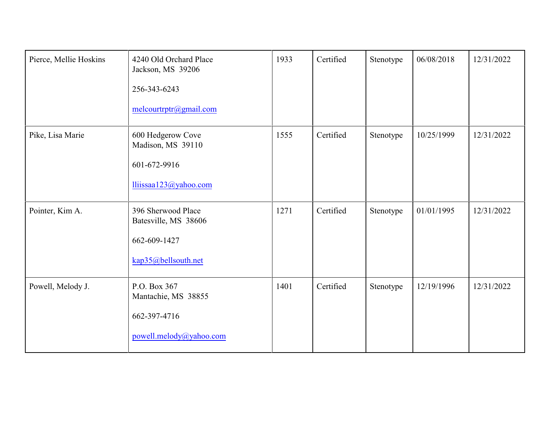| Pierce, Mellie Hoskins | 4240 Old Orchard Place<br>Jackson, MS 39206<br>256-343-6243<br>melcourtrptr@gmail.com | 1933 | Certified | Stenotype | 06/08/2018 | 12/31/2022 |
|------------------------|---------------------------------------------------------------------------------------|------|-----------|-----------|------------|------------|
| Pike, Lisa Marie       | 600 Hedgerow Cove<br>Madison, MS 39110<br>601-672-9916<br>lliissaa123@yahoo.com       | 1555 | Certified | Stenotype | 10/25/1999 | 12/31/2022 |
| Pointer, Kim A.        | 396 Sherwood Place<br>Batesville, MS 38606<br>662-609-1427<br>kap35@bellsouth.net     | 1271 | Certified | Stenotype | 01/01/1995 | 12/31/2022 |
| Powell, Melody J.      | P.O. Box 367<br>Mantachie, MS 38855<br>662-397-4716<br>powell.melody@yahoo.com        | 1401 | Certified | Stenotype | 12/19/1996 | 12/31/2022 |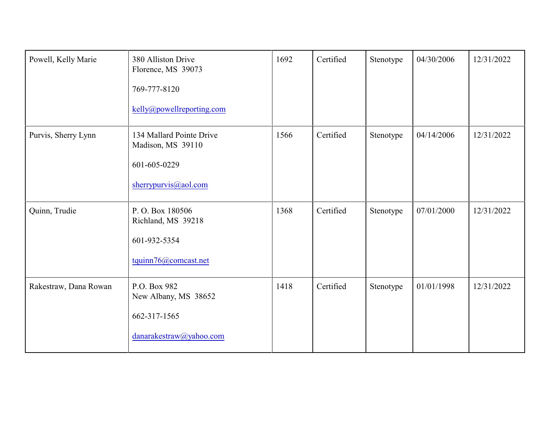| Powell, Kelly Marie   | 380 Alliston Drive<br>Florence, MS 39073<br>769-777-8120<br>kelly@powellreporting.com | 1692 | Certified | Stenotype | 04/30/2006 | 12/31/2022 |
|-----------------------|---------------------------------------------------------------------------------------|------|-----------|-----------|------------|------------|
| Purvis, Sherry Lynn   | 134 Mallard Pointe Drive<br>Madison, MS 39110<br>601-605-0229<br>sherrypurvis@aol.com | 1566 | Certified | Stenotype | 04/14/2006 | 12/31/2022 |
| Quinn, Trudie         | P.O. Box 180506<br>Richland, MS 39218<br>601-932-5354<br>tquinn76@comcast.net         | 1368 | Certified | Stenotype | 07/01/2000 | 12/31/2022 |
| Rakestraw, Dana Rowan | P.O. Box 982<br>New Albany, MS 38652<br>662-317-1565<br>danarakestraw@yahoo.com       | 1418 | Certified | Stenotype | 01/01/1998 | 12/31/2022 |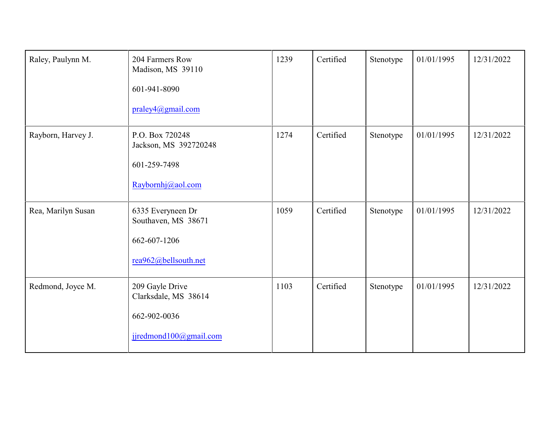| Raley, Paulynn M.  | 204 Farmers Row<br>Madison, MS 39110<br>601-941-8090<br>praley4@gmail.com         | 1239 | Certified | Stenotype | 01/01/1995 | 12/31/2022 |
|--------------------|-----------------------------------------------------------------------------------|------|-----------|-----------|------------|------------|
| Rayborn, Harvey J. | P.O. Box 720248<br>Jackson, MS 392720248<br>601-259-7498<br>Raybornhj@aol.com     | 1274 | Certified | Stenotype | 01/01/1995 | 12/31/2022 |
| Rea, Marilyn Susan | 6335 Everyneen Dr<br>Southaven, MS 38671<br>662-607-1206<br>rea962@bellsouth.net  | 1059 | Certified | Stenotype | 01/01/1995 | 12/31/2022 |
| Redmond, Joyce M.  | 209 Gayle Drive<br>Clarksdale, MS 38614<br>662-902-0036<br>jjredmond100@gmail.com | 1103 | Certified | Stenotype | 01/01/1995 | 12/31/2022 |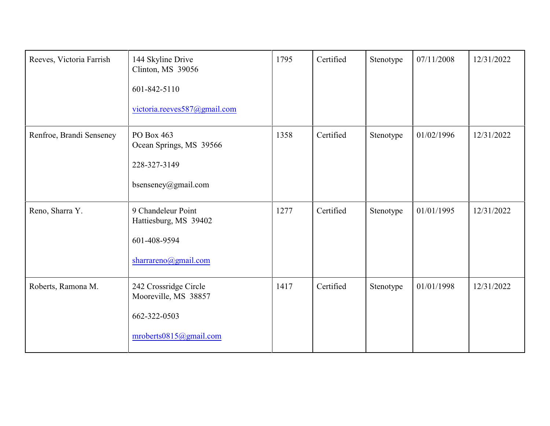| Reeves, Victoria Farrish | 144 Skyline Drive<br>Clinton, MS 39056<br>601-842-5110<br>victoria.reeves587@gmail.com  | 1795 | Certified | Stenotype | 07/11/2008 | 12/31/2022 |
|--------------------------|-----------------------------------------------------------------------------------------|------|-----------|-----------|------------|------------|
| Renfroe, Brandi Senseney | PO Box 463<br>Ocean Springs, MS 39566<br>228-327-3149<br>bsenseney@gmail.com            | 1358 | Certified | Stenotype | 01/02/1996 | 12/31/2022 |
| Reno, Sharra Y.          | 9 Chandeleur Point<br>Hattiesburg, MS 39402<br>601-408-9594<br>sharrareno@gmail.com     | 1277 | Certified | Stenotype | 01/01/1995 | 12/31/2022 |
| Roberts, Ramona M.       | 242 Crossridge Circle<br>Mooreville, MS 38857<br>662-322-0503<br>mroberts0815@gmail.com | 1417 | Certified | Stenotype | 01/01/1998 | 12/31/2022 |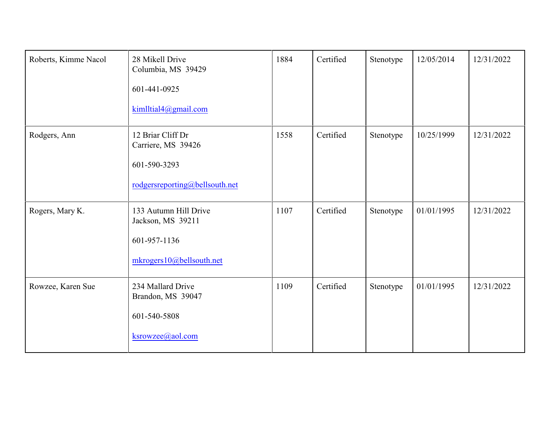| Roberts, Kimme Nacol | 28 Mikell Drive<br>Columbia, MS 39429<br>601-441-0925<br>kimlltial4@gmail.com             | 1884 | Certified | Stenotype | 12/05/2014 | 12/31/2022 |
|----------------------|-------------------------------------------------------------------------------------------|------|-----------|-----------|------------|------------|
| Rodgers, Ann         | 12 Briar Cliff Dr<br>Carriere, MS 39426<br>601-590-3293<br>rodgersreporting@bellsouth.net | 1558 | Certified | Stenotype | 10/25/1999 | 12/31/2022 |
| Rogers, Mary K.      | 133 Autumn Hill Drive<br>Jackson, MS 39211<br>601-957-1136<br>mkrogers10@bellsouth.net    | 1107 | Certified | Stenotype | 01/01/1995 | 12/31/2022 |
| Rowzee, Karen Sue    | 234 Mallard Drive<br>Brandon, MS 39047<br>601-540-5808<br>ksrowzee@aol.com                | 1109 | Certified | Stenotype | 01/01/1995 | 12/31/2022 |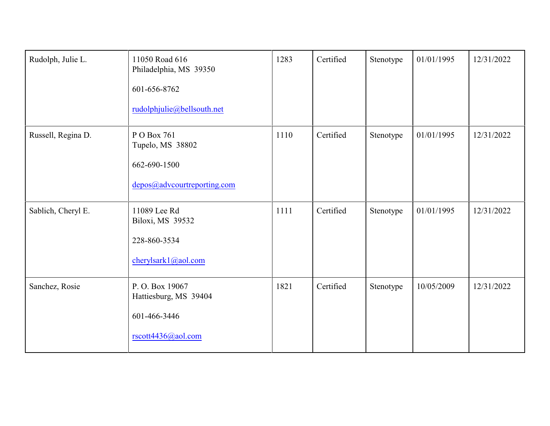| Rudolph, Julie L.  | 11050 Road 616<br>Philadelphia, MS 39350<br>601-656-8762<br>rudolphjulie@bellsouth.net | 1283 | Certified | Stenotype | 01/01/1995 | 12/31/2022 |
|--------------------|----------------------------------------------------------------------------------------|------|-----------|-----------|------------|------------|
| Russell, Regina D. | P O Box 761<br>Tupelo, MS 38802<br>662-690-1500<br>depos@advcourtreporting.com         | 1110 | Certified | Stenotype | 01/01/1995 | 12/31/2022 |
| Sablich, Cheryl E. | 11089 Lee Rd<br>Biloxi, MS 39532<br>228-860-3534<br>cherylsark1@aol.com                | 1111 | Certified | Stenotype | 01/01/1995 | 12/31/2022 |
| Sanchez, Rosie     | P.O. Box 19067<br>Hattiesburg, MS 39404<br>601-466-3446<br>rscott4436@aol.com          | 1821 | Certified | Stenotype | 10/05/2009 | 12/31/2022 |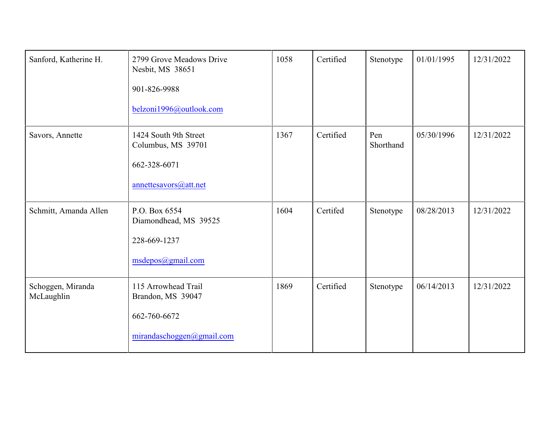| Sanford, Katherine H.           | 2799 Grove Meadows Drive<br>Nesbit, MS 38651<br>901-826-9988<br>belzoni1996@outlook.com | 1058 | Certified | Stenotype        | 01/01/1995 | 12/31/2022 |
|---------------------------------|-----------------------------------------------------------------------------------------|------|-----------|------------------|------------|------------|
| Savors, Annette                 | 1424 South 9th Street<br>Columbus, MS 39701<br>662-328-6071<br>annettesavors@att.net    | 1367 | Certified | Pen<br>Shorthand | 05/30/1996 | 12/31/2022 |
| Schmitt, Amanda Allen           | P.O. Box 6554<br>Diamondhead, MS 39525<br>228-669-1237<br>msdepos@gmail.com             | 1604 | Certifed  | Stenotype        | 08/28/2013 | 12/31/2022 |
| Schoggen, Miranda<br>McLaughlin | 115 Arrowhead Trail<br>Brandon, MS 39047<br>662-760-6672<br>mirandaschoggen@gmail.com   | 1869 | Certified | Stenotype        | 06/14/2013 | 12/31/2022 |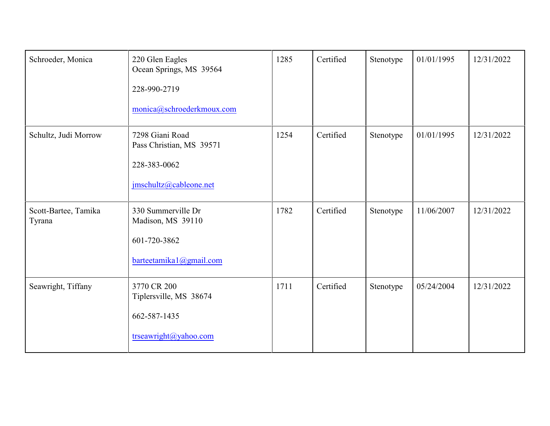| Schroeder, Monica              | 220 Glen Eagles<br>Ocean Springs, MS 39564<br>228-990-2719<br>monica@schroederkmoux.com | 1285 | Certified | Stenotype | 01/01/1995 | 12/31/2022 |
|--------------------------------|-----------------------------------------------------------------------------------------|------|-----------|-----------|------------|------------|
| Schultz, Judi Morrow           | 7298 Giani Road<br>Pass Christian, MS 39571<br>228-383-0062<br>jmschultz@cableone.net   | 1254 | Certified | Stenotype | 01/01/1995 | 12/31/2022 |
| Scott-Bartee, Tamika<br>Tyrana | 330 Summerville Dr<br>Madison, MS 39110<br>601-720-3862<br>barteetamika1@gmail.com      | 1782 | Certified | Stenotype | 11/06/2007 | 12/31/2022 |
| Seawright, Tiffany             | 3770 CR 200<br>Tiplersville, MS 38674<br>662-587-1435<br>trseawright@yahoo.com          | 1711 | Certified | Stenotype | 05/24/2004 | 12/31/2022 |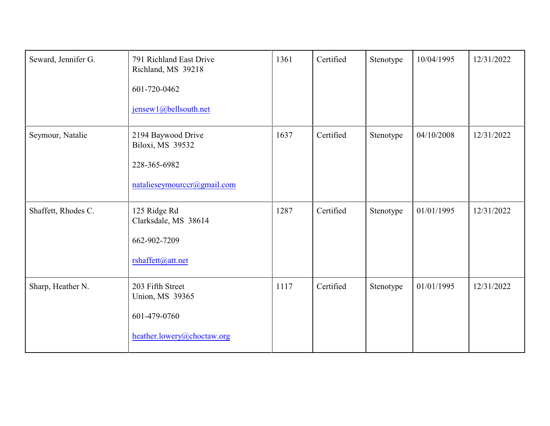| Seward, Jennifer G. | 791 Richland East Drive<br>Richland, MS 39218<br>601-720-0462<br>jensew1@bellsouth.net | 1361 | Certified | Stenotype | 10/04/1995 | 12/31/2022 |
|---------------------|----------------------------------------------------------------------------------------|------|-----------|-----------|------------|------------|
| Seymour, Natalie    | 2194 Baywood Drive<br>Biloxi, MS 39532<br>228-365-6982<br>natalieseymourccr@gmail.com  | 1637 | Certified | Stenotype | 04/10/2008 | 12/31/2022 |
| Shaffett, Rhodes C. | 125 Ridge Rd<br>Clarksdale, MS 38614<br>662-902-7209<br>rshaffett@att.net              | 1287 | Certified | Stenotype | 01/01/1995 | 12/31/2022 |
| Sharp, Heather N.   | 203 Fifth Street<br>Union, MS 39365<br>601-479-0760<br>heather.lowery@choctaw.org      | 1117 | Certified | Stenotype | 01/01/1995 | 12/31/2022 |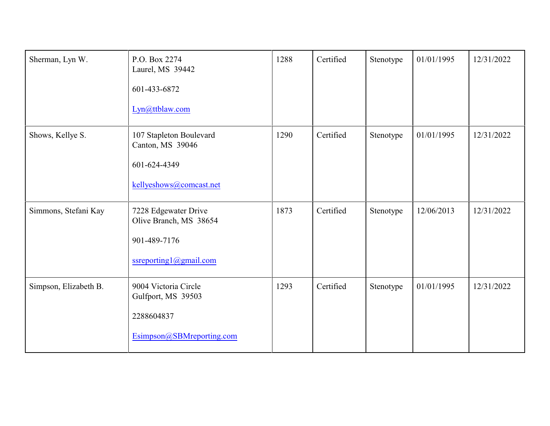| Sherman, Lyn W.       | P.O. Box 2274<br>Laurel, MS 39442<br>601-433-6872<br>Lyn@ttblaw.com                      | 1288 | Certified | Stenotype | 01/01/1995 | 12/31/2022 |
|-----------------------|------------------------------------------------------------------------------------------|------|-----------|-----------|------------|------------|
| Shows, Kellye S.      | 107 Stapleton Boulevard<br>Canton, MS 39046<br>601-624-4349<br>kellyeshows@comcast.net   | 1290 | Certified | Stenotype | 01/01/1995 | 12/31/2022 |
| Simmons, Stefani Kay  | 7228 Edgewater Drive<br>Olive Branch, MS 38654<br>901-489-7176<br>ssreporting1@gmail.com | 1873 | Certified | Stenotype | 12/06/2013 | 12/31/2022 |
| Simpson, Elizabeth B. | 9004 Victoria Circle<br>Gulfport, MS 39503<br>2288604837<br>Esimpson@SBMreporting.com    | 1293 | Certified | Stenotype | 01/01/1995 | 12/31/2022 |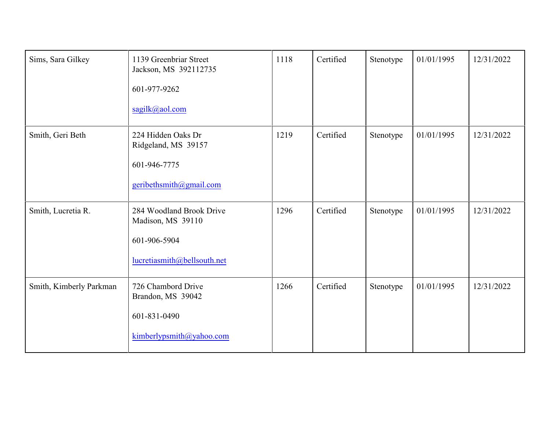| Sims, Sara Gilkey       | 1139 Greenbriar Street<br>Jackson, MS 392112735<br>601-977-9262<br>sagilk@aol.com            | 1118 | Certified | Stenotype | 01/01/1995 | 12/31/2022 |
|-------------------------|----------------------------------------------------------------------------------------------|------|-----------|-----------|------------|------------|
| Smith, Geri Beth        | 224 Hidden Oaks Dr<br>Ridgeland, MS 39157<br>601-946-7775<br>geribethsmith@gmail.com         | 1219 | Certified | Stenotype | 01/01/1995 | 12/31/2022 |
| Smith, Lucretia R.      | 284 Woodland Brook Drive<br>Madison, MS 39110<br>601-906-5904<br>lucretiasmith@bellsouth.net | 1296 | Certified | Stenotype | 01/01/1995 | 12/31/2022 |
| Smith, Kimberly Parkman | 726 Chambord Drive<br>Brandon, MS 39042<br>601-831-0490<br>kimberlypsmith@yahoo.com          | 1266 | Certified | Stenotype | 01/01/1995 | 12/31/2022 |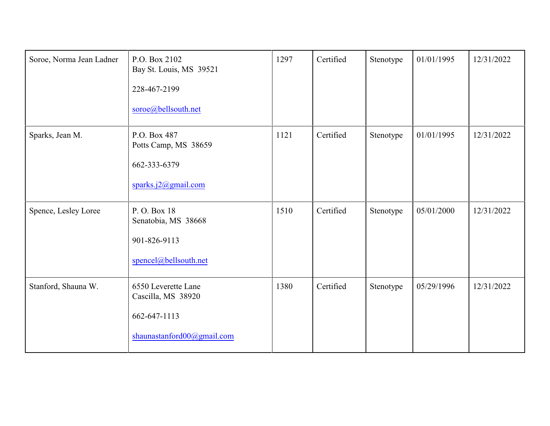| Soroe, Norma Jean Ladner | P.O. Box 2102<br>Bay St. Louis, MS 39521<br>228-467-2199<br>soroe@bellsouth.net         | 1297 | Certified | Stenotype | 01/01/1995 | 12/31/2022 |
|--------------------------|-----------------------------------------------------------------------------------------|------|-----------|-----------|------------|------------|
| Sparks, Jean M.          | P.O. Box 487<br>Potts Camp, MS 38659<br>662-333-6379<br>sparks.j $2$ @gmail.com         | 1121 | Certified | Stenotype | 01/01/1995 | 12/31/2022 |
| Spence, Lesley Loree     | P.O. Box 18<br>Senatobia, MS 38668<br>901-826-9113<br>spencel@bellsouth.net             | 1510 | Certified | Stenotype | 05/01/2000 | 12/31/2022 |
| Stanford, Shauna W.      | 6550 Leverette Lane<br>Cascilla, MS 38920<br>662-647-1113<br>shaunastanford00@gmail.com | 1380 | Certified | Stenotype | 05/29/1996 | 12/31/2022 |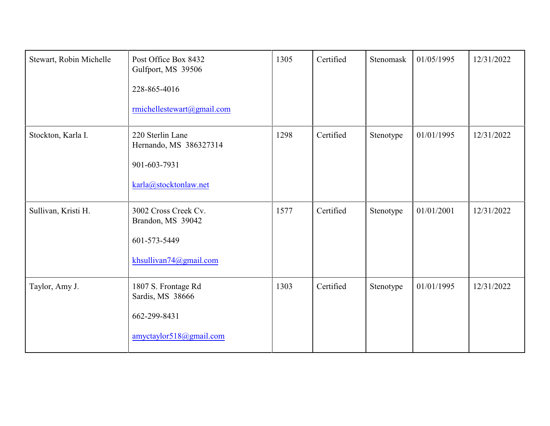| Stewart, Robin Michelle | Post Office Box 8432<br>Gulfport, MS 39506<br>228-865-4016<br>rmichellestewart@gmail.com | 1305 | Certified | Stenomask | 01/05/1995 | 12/31/2022 |
|-------------------------|------------------------------------------------------------------------------------------|------|-----------|-----------|------------|------------|
| Stockton, Karla I.      | 220 Sterlin Lane<br>Hernando, MS 386327314<br>901-603-7931<br>karla@stocktonlaw.net      | 1298 | Certified | Stenotype | 01/01/1995 | 12/31/2022 |
| Sullivan, Kristi H.     | 3002 Cross Creek Cv.<br>Brandon, MS 39042<br>601-573-5449<br>khsullivan74@gmail.com      | 1577 | Certified | Stenotype | 01/01/2001 | 12/31/2022 |
| Taylor, Amy J.          | 1807 S. Frontage Rd<br>Sardis, MS 38666<br>662-299-8431<br>amyctaylor518@gmail.com       | 1303 | Certified | Stenotype | 01/01/1995 | 12/31/2022 |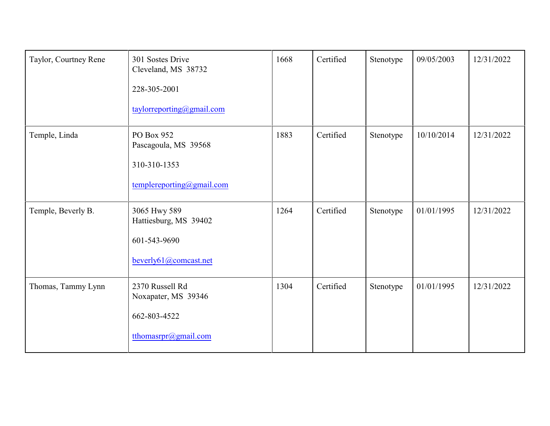| Taylor, Courtney Rene | 301 Sostes Drive<br>Cleveland, MS 38732<br>228-305-2001<br>taylorreporting@gmail.com | 1668 | Certified | Stenotype | 09/05/2003 | 12/31/2022 |
|-----------------------|--------------------------------------------------------------------------------------|------|-----------|-----------|------------|------------|
| Temple, Linda         | PO Box 952<br>Pascagoula, MS 39568<br>310-310-1353<br>templereporting@gmail.com      | 1883 | Certified | Stenotype | 10/10/2014 | 12/31/2022 |
| Temple, Beverly B.    | 3065 Hwy 589<br>Hattiesburg, MS 39402<br>601-543-9690<br>beverly61@comcast.net       | 1264 | Certified | Stenotype | 01/01/1995 | 12/31/2022 |
| Thomas, Tammy Lynn    | 2370 Russell Rd<br>Noxapater, MS 39346<br>662-803-4522<br>tthomasrpr@gmail.com       | 1304 | Certified | Stenotype | 01/01/1995 | 12/31/2022 |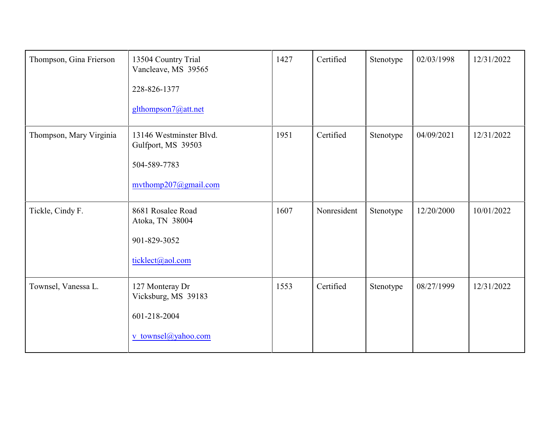| Thompson, Gina Frierson | 13504 Country Trial<br>Vancleave, MS 39565<br>228-826-1377<br>glthompson7@att.net     | 1427 | Certified   | Stenotype | 02/03/1998 | 12/31/2022 |
|-------------------------|---------------------------------------------------------------------------------------|------|-------------|-----------|------------|------------|
| Thompson, Mary Virginia | 13146 Westminster Blvd.<br>Gulfport, MS 39503<br>504-589-7783<br>mythomp207@gmail.com | 1951 | Certified   | Stenotype | 04/09/2021 | 12/31/2022 |
| Tickle, Cindy F.        | 8681 Rosalee Road<br>Atoka, TN 38004<br>901-829-3052<br>ticklect@aol.com              | 1607 | Nonresident | Stenotype | 12/20/2000 | 10/01/2022 |
| Townsel, Vanessa L.     | 127 Monteray Dr<br>Vicksburg, MS 39183<br>601-218-2004<br>v townsel@yahoo.com         | 1553 | Certified   | Stenotype | 08/27/1999 | 12/31/2022 |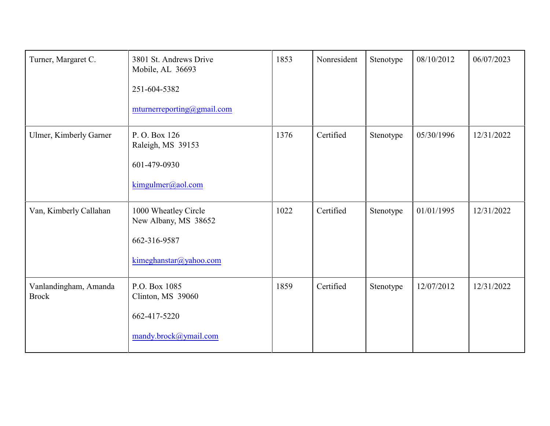| Turner, Margaret C.                   | 3801 St. Andrews Drive<br>Mobile, AL 36693<br>251-604-5382<br>mturnerreporting@gmail.com | 1853 | Nonresident | Stenotype | 08/10/2012 | 06/07/2023 |
|---------------------------------------|------------------------------------------------------------------------------------------|------|-------------|-----------|------------|------------|
| Ulmer, Kimberly Garner                | P.O. Box 126<br>Raleigh, MS 39153<br>601-479-0930<br>kimgulmer@aol.com                   | 1376 | Certified   | Stenotype | 05/30/1996 | 12/31/2022 |
| Van, Kimberly Callahan                | 1000 Wheatley Circle<br>New Albany, MS 38652<br>662-316-9587<br>kimeghanstar@yahoo.com   | 1022 | Certified   | Stenotype | 01/01/1995 | 12/31/2022 |
| Vanlandingham, Amanda<br><b>Brock</b> | P.O. Box 1085<br>Clinton, MS 39060<br>662-417-5220<br>mandy.brock@ymail.com              | 1859 | Certified   | Stenotype | 12/07/2012 | 12/31/2022 |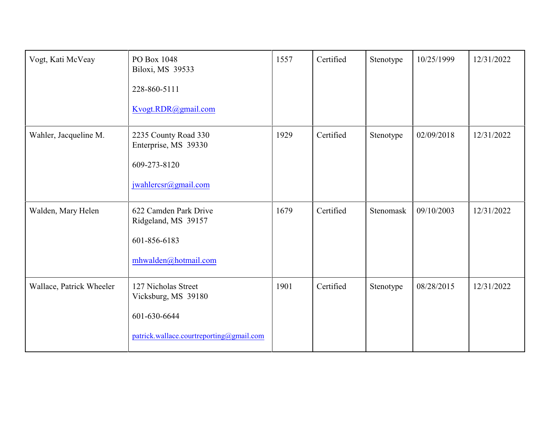| Vogt, Kati McVeay        | PO Box 1048<br>Biloxi, MS 39533<br>228-860-5111<br>Kvogt.RDR@gmail.com                                 | 1557 | Certified | Stenotype | 10/25/1999 | 12/31/2022 |
|--------------------------|--------------------------------------------------------------------------------------------------------|------|-----------|-----------|------------|------------|
| Wahler, Jacqueline M.    | 2235 County Road 330<br>Enterprise, MS 39330<br>609-273-8120<br>jwahlercsr@gmail.com                   | 1929 | Certified | Stenotype | 02/09/2018 | 12/31/2022 |
| Walden, Mary Helen       | 622 Camden Park Drive<br>Ridgeland, MS 39157<br>601-856-6183<br>mhwalden@hotmail.com                   | 1679 | Certified | Stenomask | 09/10/2003 | 12/31/2022 |
| Wallace, Patrick Wheeler | 127 Nicholas Street<br>Vicksburg, MS 39180<br>601-630-6644<br>patrick.wallace.courtreporting@gmail.com | 1901 | Certified | Stenotype | 08/28/2015 | 12/31/2022 |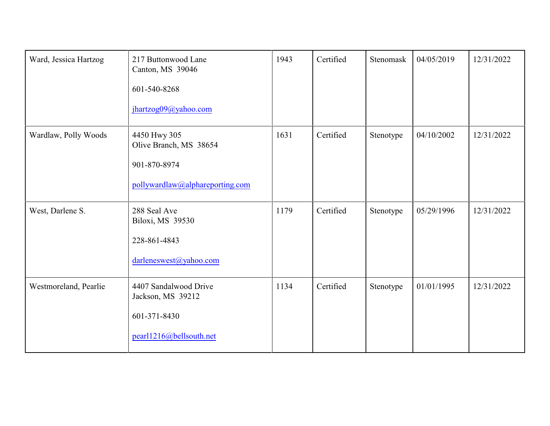| Ward, Jessica Hartzog | 217 Buttonwood Lane<br>Canton, MS 39046<br>601-540-8268<br>jhartzog09@yahoo.com           | 1943 | Certified | Stenomask | 04/05/2019 | 12/31/2022 |
|-----------------------|-------------------------------------------------------------------------------------------|------|-----------|-----------|------------|------------|
| Wardlaw, Polly Woods  | 4450 Hwy 305<br>Olive Branch, MS 38654<br>901-870-8974<br>pollywardlaw@alphareporting.com | 1631 | Certified | Stenotype | 04/10/2002 | 12/31/2022 |
| West, Darlene S.      | 288 Seal Ave<br>Biloxi, MS 39530<br>228-861-4843<br>darleneswest@yahoo.com                | 1179 | Certified | Stenotype | 05/29/1996 | 12/31/2022 |
| Westmoreland, Pearlie | 4407 Sandalwood Drive<br>Jackson, MS 39212<br>601-371-8430<br>pearl1216@bellsouth.net     | 1134 | Certified | Stenotype | 01/01/1995 | 12/31/2022 |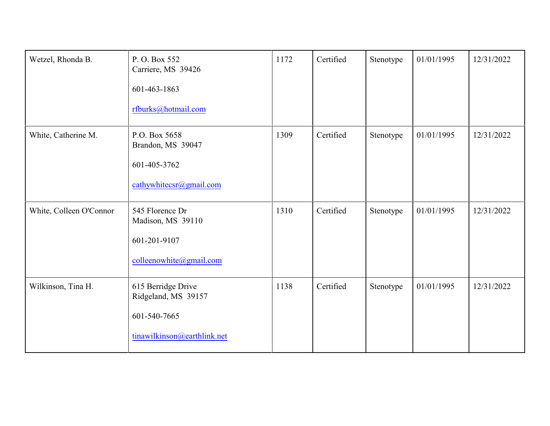| Wetzel, Rhonda B.       | P.O. Box 552<br>Carriere, MS 39426<br>601-463-1863<br>rfburks@hotmail.com                | 1172 | Certified | Stenotype | 01/01/1995 | 12/31/2022 |
|-------------------------|------------------------------------------------------------------------------------------|------|-----------|-----------|------------|------------|
| White, Catherine M.     | P.O. Box 5658<br>Brandon, MS 39047<br>601-405-3762<br>cathywhitecsr@gmail.com            | 1309 | Certified | Stenotype | 01/01/1995 | 12/31/2022 |
| White, Colleen O'Connor | 545 Florence Dr<br>Madison, MS 39110<br>601-201-9107<br>colleenowhite@gmail.com          | 1310 | Certified | Stenotype | 01/01/1995 | 12/31/2022 |
| Wilkinson, Tina H.      | 615 Berridge Drive<br>Ridgeland, MS 39157<br>601-540-7665<br>tinawilkinson@earthlink.net | 1138 | Certified | Stenotype | 01/01/1995 | 12/31/2022 |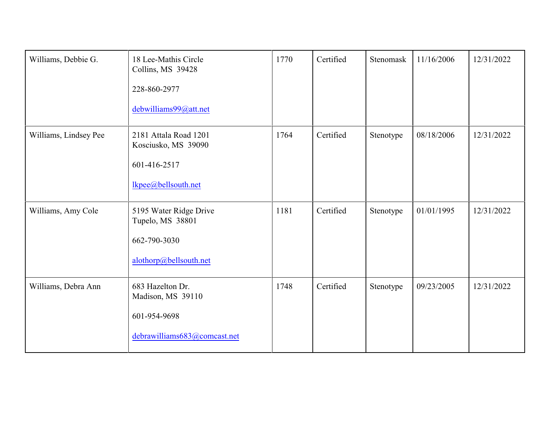| Williams, Debbie G.   | 18 Lee-Mathis Circle<br>Collins, MS 39428<br>228-860-2977<br>debwilliams99@att.net    | 1770 | Certified | Stenomask | 11/16/2006 | 12/31/2022 |
|-----------------------|---------------------------------------------------------------------------------------|------|-----------|-----------|------------|------------|
| Williams, Lindsey Pee | 2181 Attala Road 1201<br>Kosciusko, MS 39090<br>601-416-2517<br>lkpee@bellsouth.net   | 1764 | Certified | Stenotype | 08/18/2006 | 12/31/2022 |
| Williams, Amy Cole    | 5195 Water Ridge Drive<br>Tupelo, MS 38801<br>662-790-3030<br>alothorp@bellsouth.net  | 1181 | Certified | Stenotype | 01/01/1995 | 12/31/2022 |
| Williams, Debra Ann   | 683 Hazelton Dr.<br>Madison, MS 39110<br>601-954-9698<br>debrawilliams683@comcast.net | 1748 | Certified | Stenotype | 09/23/2005 | 12/31/2022 |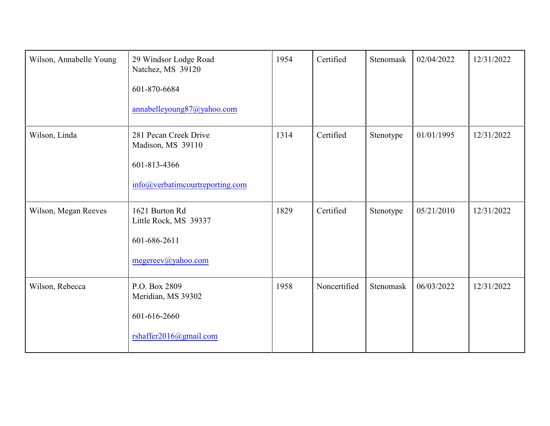| Wilson, Annabelle Young | 29 Windsor Lodge Road<br>Natchez, MS 39120<br>601-870-6684<br>annabelleyoung87@yahoo.com      | 1954 | Certified    | Stenomask | 02/04/2022 | 12/31/2022 |
|-------------------------|-----------------------------------------------------------------------------------------------|------|--------------|-----------|------------|------------|
| Wilson, Linda           | 281 Pecan Creek Drive<br>Madison, MS 39110<br>601-813-4366<br>info@verbatimcourtreporting.com | 1314 | Certified    | Stenotype | 01/01/1995 | 12/31/2022 |
| Wilson, Megan Reeves    | 1621 Burton Rd<br>Little Rock, MS 39337<br>601-686-2611<br>megereev@yahoo.com                 | 1829 | Certified    | Stenotype | 05/21/2010 | 12/31/2022 |
| Wilson, Rebecca         | P.O. Box 2809<br>Meridian, MS 39302<br>601-616-2660<br>rshaffer2016@gmail.com                 | 1958 | Noncertified | Stenomask | 06/03/2022 | 12/31/2022 |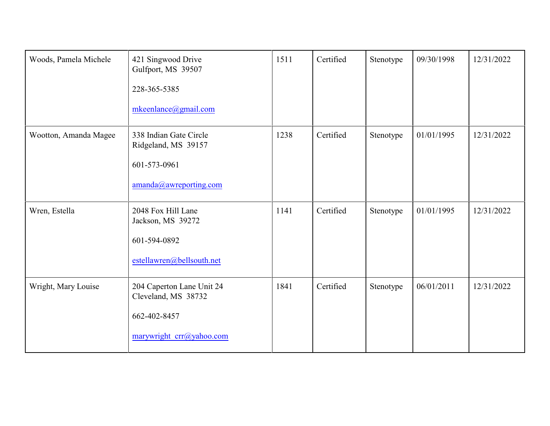| Woods, Pamela Michele | 421 Singwood Drive<br>Gulfport, MS 39507<br>228-365-5385<br>mkeenlance@gmail.com             | 1511 | Certified | Stenotype | 09/30/1998 | 12/31/2022 |
|-----------------------|----------------------------------------------------------------------------------------------|------|-----------|-----------|------------|------------|
| Wootton, Amanda Magee | 338 Indian Gate Circle<br>Ridgeland, MS 39157<br>601-573-0961<br>amanda@awreporting.com      | 1238 | Certified | Stenotype | 01/01/1995 | 12/31/2022 |
| Wren, Estella         | 2048 Fox Hill Lane<br>Jackson, MS 39272<br>601-594-0892<br>estellawren@bellsouth.net         | 1141 | Certified | Stenotype | 01/01/1995 | 12/31/2022 |
| Wright, Mary Louise   | 204 Caperton Lane Unit 24<br>Cleveland, MS 38732<br>662-402-8457<br>marywright crr@yahoo.com | 1841 | Certified | Stenotype | 06/01/2011 | 12/31/2022 |